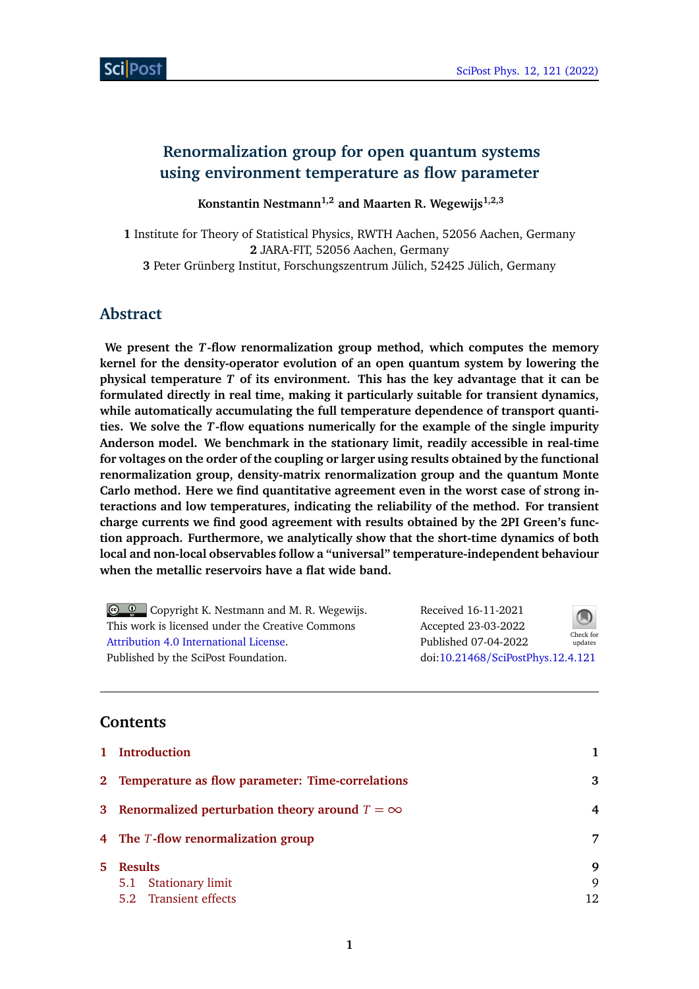# **Renormalization group for open quantum systems using environment temperature as flow parameter**

**Konstantin Nestmann1,2 and Maarten R. Wegewijs1,2,3**

**1** Institute for Theory of Statistical Physics, RWTH Aachen, 52056 Aachen, Germany **2** JARA-FIT, 52056 Aachen, Germany **3** Peter Grünberg Institut, Forschungszentrum Jülich, 52425 Jülich, Germany

## **Abstract**

**We present the** *T***-flow renormalization group method, which computes the memory kernel for the density-operator evolution of an open quantum system by lowering the physical temperature** *T* **of its environment. This has the key advantage that it can be formulated directly in real time, making it particularly suitable for transient dynamics, while automatically accumulating the full temperature dependence of transport quantities. We solve the** *T***-flow equations numerically for the example of the single impurity Anderson model. We benchmark in the stationary limit, readily accessible in real-time for voltages on the order of the coupling or larger using results obtained by the functional renormalization group, density-matrix renormalization group and the quantum Monte Carlo method. Here we find quantitative agreement even in the worst case of strong interactions and low temperatures, indicating the reliability of the method. For transient charge currents we find good agreement with results obtained by the 2PI Green's function approach. Furthermore, we analytically show that the short-time dynamics of both local and non-local observables follow a "universal" temperature-independent behaviour when the metallic reservoirs have a flat wide band.**

| © © Copyright K. Nestmann and M. R. Wegewijs.    | Received 16-11-2021               | $\bigcirc$           |
|--------------------------------------------------|-----------------------------------|----------------------|
| This work is licensed under the Creative Commons | Accepted 23-03-2022               |                      |
| Attribution 4.0 International License.           | Published 07-04-2022              | Check for<br>updates |
| Published by the SciPost Foundation.             | doi:10.21468/SciPostPhys.12.4.121 |                      |

# **Contents**

|    | 1 Introduction                                         |    |
|----|--------------------------------------------------------|----|
|    | 2 Temperature as flow parameter: Time-correlations     | 3  |
|    | 3 Renormalized perturbation theory around $T = \infty$ | 4  |
|    | 4 The T-flow renormalization group                     | 7  |
| 5. | <b>Results</b>                                         | 9  |
|    | 5.1 Stationary limit                                   | 9  |
|    | 5.2 Transient effects                                  | 12 |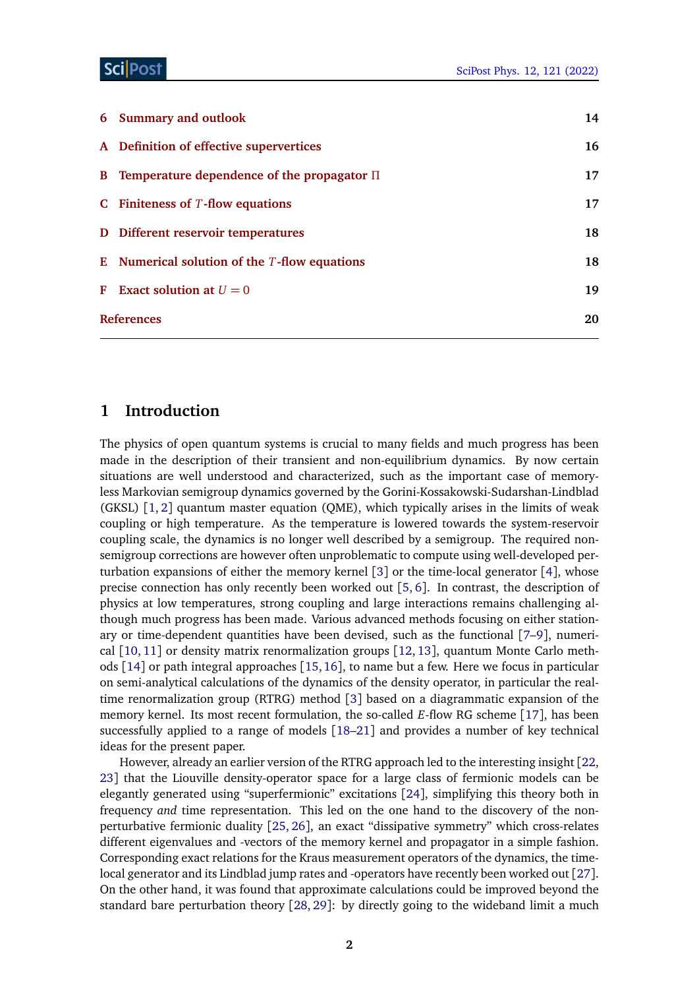#### ScilPost

| 6 Summary and outlook                            | 14 |
|--------------------------------------------------|----|
| A Definition of effective supervertices          | 16 |
| B Temperature dependence of the propagator $\Pi$ | 17 |
| C Finiteness of $T$ -flow equations              | 17 |
| D Different reservoir temperatures               | 18 |
| E Numerical solution of the $T$ -flow equations  | 18 |
| <b>F</b> Exact solution at $U = 0$               | 19 |
| <b>References</b>                                | 20 |

# <span id="page-1-0"></span>**1 Introduction**

The physics of open quantum systems is crucial to many fields and much progress has been made in the description of their transient and non-equilibrium dynamics. By now certain situations are well understood and characterized, such as the important case of memoryless Markovian semigroup dynamics governed by the Gorini-Kossakowski-Sudarshan-Lindblad  $(GKSL)$  [[1,](#page-19-1) [2](#page-19-2)] quantum master equation  $(QME)$ , which typically arises in the limits of weak coupling or high temperature. As the temperature is lowered towards the system-reservoir coupling scale, the dynamics is no longer well described by a semigroup. The required nonsemigroup corrections are however often unproblematic to compute using well-developed perturbation expansions of either the memory kernel [[3](#page-19-3)] or the time-local generator [[4](#page-19-4)], whose precise connection has only recently been worked out [[5,](#page-19-5) [6](#page-19-6)]. In contrast, the description of physics at low temperatures, strong coupling and large interactions remains challenging although much progress has been made. Various advanced methods focusing on either stationary or time-dependent quantities have been devised, such as the functional [[7–](#page-19-7)[9](#page-20-0)], numerical [[10,](#page-20-1) [11](#page-20-2)] or density matrix renormalization groups [[12,](#page-20-3) [13](#page-20-4)], quantum Monte Carlo methods [[14](#page-20-5)] or path integral approaches [[15,](#page-20-6)[16](#page-20-7)], to name but a few. Here we focus in particular on semi-analytical calculations of the dynamics of the density operator, in particular the realtime renormalization group (RTRG) method [[3](#page-19-3)] based on a diagrammatic expansion of the memory kernel. Its most recent formulation, the so-called *E*-flow RG scheme [[17](#page-20-8)], has been successfully applied to a range of models [[18–](#page-20-9)[21](#page-20-10)] and provides a number of key technical ideas for the present paper.

However, already an earlier version of the RTRG approach led to the interesting insight [[22,](#page-21-0) [23](#page-21-1)] that the Liouville density-operator space for a large class of fermionic models can be elegantly generated using "superfermionic" excitations [[24](#page-21-2)], simplifying this theory both in frequency *and* time representation. This led on the one hand to the discovery of the nonperturbative fermionic duality [[25,](#page-21-3) [26](#page-21-4)], an exact "dissipative symmetry" which cross-relates different eigenvalues and -vectors of the memory kernel and propagator in a simple fashion. Corresponding exact relations for the Kraus measurement operators of the dynamics, the timelocal generator and its Lindblad jump rates and -operators have recently been worked out [[27](#page-21-5)]. On the other hand, it was found that approximate calculations could be improved beyond the standard bare perturbation theory [[28,](#page-21-6) [29](#page-21-7)]: by directly going to the wideband limit a much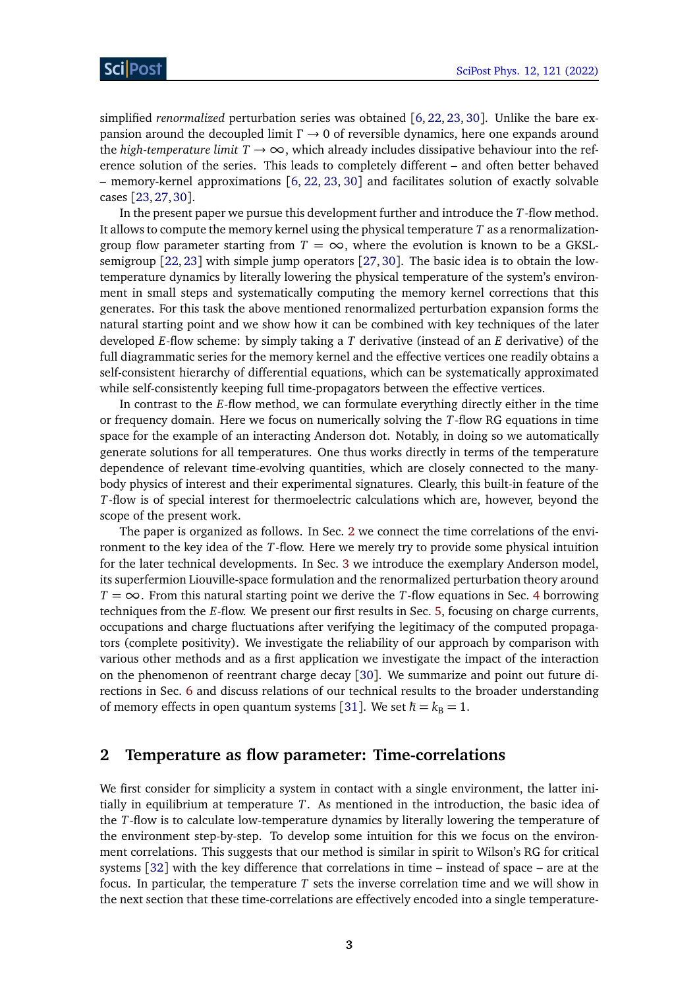simplified *renormalized* perturbation series was obtained [[6,](#page-19-6) [22,](#page-21-0) [23,](#page-21-1) [30](#page-21-8)]. Unlike the bare expansion around the decoupled limit *Γ* → 0 of reversible dynamics, here one expands around the *high-temperature limit*  $T \rightarrow \infty$ , which already includes dissipative behaviour into the reference solution of the series. This leads to completely different – and often better behaved – memory-kernel approximations  $[6, 22, 23, 30]$  $[6, 22, 23, 30]$  $[6, 22, 23, 30]$  $[6, 22, 23, 30]$  $[6, 22, 23, 30]$  $[6, 22, 23, 30]$  $[6, 22, 23, 30]$  $[6, 22, 23, 30]$  $[6, 22, 23, 30]$  and facilitates solution of exactly solvable cases [[23,](#page-21-1)[27,](#page-21-5)[30](#page-21-8)].

In the present paper we pursue this development further and introduce the *T*-flow method. It allows to compute the memory kernel using the physical temperature *T* as a renormalizationgroup flow parameter starting from  $T = \infty$ , where the evolution is known to be a GKSLsemigroup [[22,](#page-21-0) [23](#page-21-1)] with simple jump operators [[27,](#page-21-5) [30](#page-21-8)]. The basic idea is to obtain the lowtemperature dynamics by literally lowering the physical temperature of the system's environment in small steps and systematically computing the memory kernel corrections that this generates. For this task the above mentioned renormalized perturbation expansion forms the natural starting point and we show how it can be combined with key techniques of the later developed *E*-flow scheme: by simply taking a *T* derivative (instead of an *E* derivative) of the full diagrammatic series for the memory kernel and the effective vertices one readily obtains a self-consistent hierarchy of differential equations, which can be systematically approximated while self-consistently keeping full time-propagators between the effective vertices.

In contrast to the *E*-flow method, we can formulate everything directly either in the time or frequency domain. Here we focus on numerically solving the *T*-flow RG equations in time space for the example of an interacting Anderson dot. Notably, in doing so we automatically generate solutions for all temperatures. One thus works directly in terms of the temperature dependence of relevant time-evolving quantities, which are closely connected to the manybody physics of interest and their experimental signatures. Clearly, this built-in feature of the *T*-flow is of special interest for thermoelectric calculations which are, however, beyond the scope of the present work.

The paper is organized as follows. In Sec. [2](#page-2-0) we connect the time correlations of the environment to the key idea of the *T*-flow. Here we merely try to provide some physical intuition for the later technical developments. In Sec. [3](#page-3-0) we introduce the exemplary Anderson model, its superfermion Liouville-space formulation and the renormalized perturbation theory around  $T = \infty$ . From this natural starting point we derive the *T*-flow equations in Sec. [4](#page-6-0) borrowing techniques from the *E*-flow. We present our first results in Sec. [5,](#page-9-0) focusing on charge currents, occupations and charge fluctuations after verifying the legitimacy of the computed propagators (complete positivity). We investigate the reliability of our approach by comparison with various other methods and as a first application we investigate the impact of the interaction on the phenomenon of reentrant charge decay [[30](#page-21-8)]. We summarize and point out future directions in Sec. [6](#page-13-0) and discuss relations of our technical results to the broader understanding of memory effects in open quantum systems [[31](#page-21-9)]. We set  $\hbar = k_B = 1$ .

#### <span id="page-2-0"></span>**2 Temperature as flow parameter: Time-correlations**

We first consider for simplicity a system in contact with a single environment, the latter initially in equilibrium at temperature *T*. As mentioned in the introduction, the basic idea of the *T*-flow is to calculate low-temperature dynamics by literally lowering the temperature of the environment step-by-step. To develop some intuition for this we focus on the environment correlations. This suggests that our method is similar in spirit to Wilson's RG for critical systems [[32](#page-21-10)] with the key difference that correlations in time – instead of space – are at the focus. In particular, the temperature *T* sets the inverse correlation time and we will show in the next section that these time-correlations are effectively encoded into a single temperature-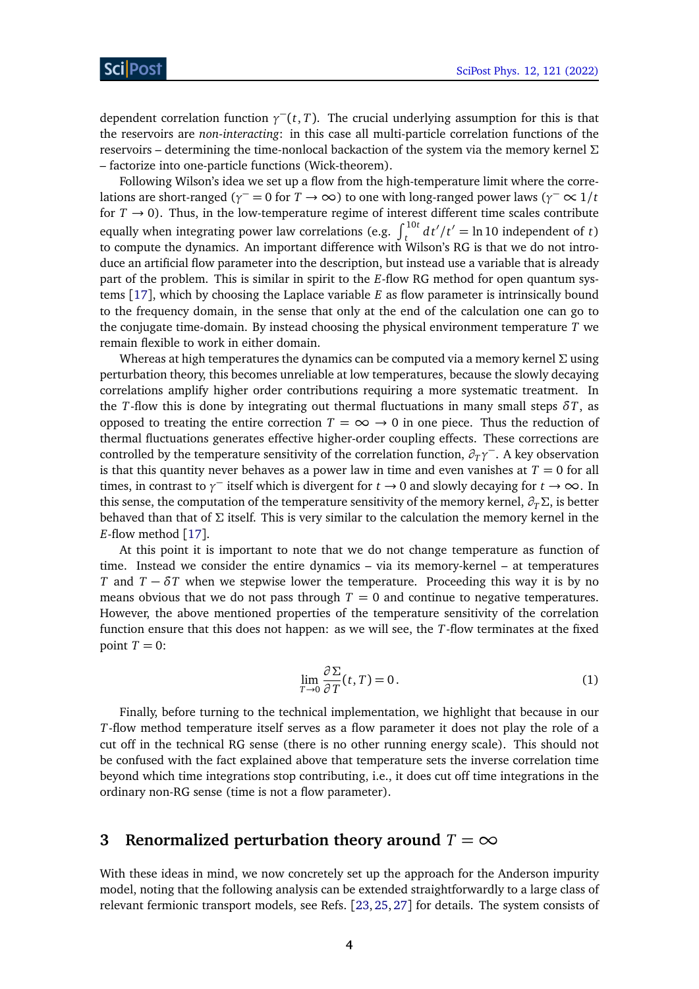dependent correlation function  $\gamma^-(t,T)$ . The crucial underlying assumption for this is that the reservoirs are *non-interacting*: in this case all multi-particle correlation functions of the reservoirs – determining the time-nonlocal backaction of the system via the memory kernel *Σ* – factorize into one-particle functions (Wick-theorem).

Following Wilson's idea we set up a flow from the high-temperature limit where the correlations are short-ranged ( $\gamma$ <sup>-</sup> = 0 for *T* → ∞) to one with long-ranged power laws ( $\gamma$ <sup>-</sup>  $\propto$  1/*t* for  $T \rightarrow 0$ ). Thus, in the low-temperature regime of interest different time scales contribute equally when integrating power law correlations (e.g.  $\int_{t}^{10t} dt'/t' = \ln 10$  independent of *t*) to compute the dynamics. An important difference with Wilson's RG is that we do not introduce an artificial flow parameter into the description, but instead use a variable that is already part of the problem. This is similar in spirit to the *E*-flow RG method for open quantum systems [[17](#page-20-8)], which by choosing the Laplace variable *E* as flow parameter is intrinsically bound to the frequency domain, in the sense that only at the end of the calculation one can go to the conjugate time-domain. By instead choosing the physical environment temperature *T* we remain flexible to work in either domain.

Whereas at high temperatures the dynamics can be computed via a memory kernel *Σ* using perturbation theory, this becomes unreliable at low temperatures, because the slowly decaying correlations amplify higher order contributions requiring a more systematic treatment. In the *T*-flow this is done by integrating out thermal fluctuations in many small steps  $\delta T$ , as opposed to treating the entire correction  $T = \infty \rightarrow 0$  in one piece. Thus the reduction of thermal fluctuations generates effective higher-order coupling effects. These corrections are controlled by the temperature sensitivity of the correlation function,  $\partial_T \gamma^-$ . A key observation is that this quantity never behaves as a power law in time and even vanishes at  $T = 0$  for all times, in contrast to  $\gamma^-$  itself which is divergent for  $t \to 0$  and slowly decaying for  $t \to \infty$ . In this sense, the computation of the temperature sensitivity of the memory kernel,  $\partial_T \Sigma$ , is better behaved than that of *Σ* itself. This is very similar to the calculation the memory kernel in the *E*-flow method [[17](#page-20-8)].

At this point it is important to note that we do not change temperature as function of time. Instead we consider the entire dynamics – via its memory-kernel – at temperatures *T* and  $T - \delta T$  when we stepwise lower the temperature. Proceeding this way it is by no means obvious that we do not pass through  $T = 0$  and continue to negative temperatures. However, the above mentioned properties of the temperature sensitivity of the correlation function ensure that this does not happen: as we will see, the *T*-flow terminates at the fixed point  $T = 0$ :

<span id="page-3-1"></span>
$$
\lim_{T \to 0} \frac{\partial \Sigma}{\partial T}(t, T) = 0. \tag{1}
$$

Finally, before turning to the technical implementation, we highlight that because in our *T*-flow method temperature itself serves as a flow parameter it does not play the role of a cut off in the technical RG sense (there is no other running energy scale). This should not be confused with the fact explained above that temperature sets the inverse correlation time beyond which time integrations stop contributing, i.e., it does cut off time integrations in the ordinary non-RG sense (time is not a flow parameter).

## <span id="page-3-0"></span>**3 Renormalized perturbation theory around**  $T = \infty$

With these ideas in mind, we now concretely set up the approach for the Anderson impurity model, noting that the following analysis can be extended straightforwardly to a large class of relevant fermionic transport models, see Refs. [[23,](#page-21-1) [25,](#page-21-3) [27](#page-21-5)] for details. The system consists of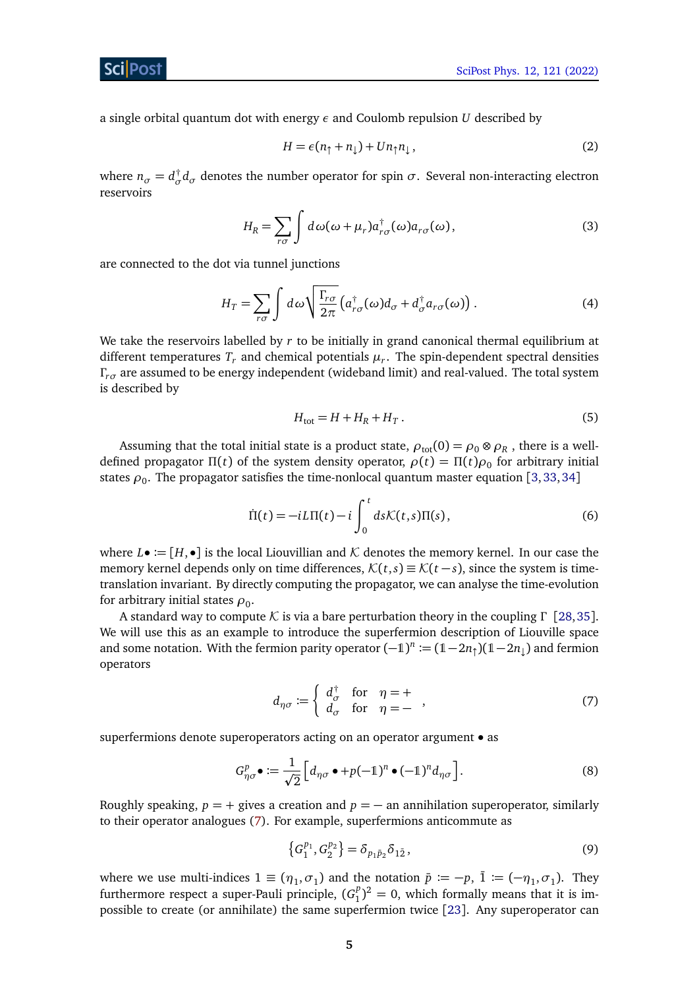Sci Post

a single orbital quantum dot with energy *ε* and Coulomb repulsion *U* described by

$$
H = \epsilon (n_{\uparrow} + n_{\downarrow}) + U n_{\uparrow} n_{\downarrow}, \tag{2}
$$

where  $n_{\sigma} = d_{\sigma}^{\dagger} d_{\sigma}$  denotes the number operator for spin  $\sigma$ . Several non-interacting electron reservoirs

$$
H_R = \sum_{r\sigma} \int d\omega (\omega + \mu_r) a_{r\sigma}^\dagger(\omega) a_{r\sigma}(\omega), \qquad (3)
$$

are connected to the dot via tunnel junctions

$$
H_T = \sum_{r\sigma} \int d\omega \sqrt{\frac{\Gamma_{r\sigma}}{2\pi}} \left( a_{r\sigma}^\dagger(\omega) d_{\sigma} + d_{\sigma}^\dagger a_{r\sigma}(\omega) \right). \tag{4}
$$

We take the reservoirs labelled by *r* to be initially in grand canonical thermal equilibrium at different temperatures  $T_r$  and chemical potentials  $\mu_r$ . The spin-dependent spectral densities *Γr<sup>σ</sup>* are assumed to be energy independent (wideband limit) and real-valued. The total system is described by

<span id="page-4-4"></span><span id="page-4-2"></span><span id="page-4-1"></span>
$$
H_{\text{tot}} = H + H_R + H_T. \tag{5}
$$

Assuming that the total initial state is a product state,  $\rho_{\text{tot}}(0) = \rho_0 \otimes \rho_R$ , there is a welldefined propagator  $\Pi(t)$  of the system density operator,  $\rho(t) = \Pi(t)\rho_0$  for arbitrary initial states  $\rho_0$ . The propagator satisfies the time-nonlocal quantum master equation [[3,](#page-19-3)[33,](#page-21-11)[34](#page-21-12)]

$$
\dot{\Pi}(t) = -iL\Pi(t) - i\int_0^t ds \mathcal{K}(t,s)\Pi(s),\tag{6}
$$

where  $L \bullet := [H, \bullet]$  is the local Liouvillian and K denotes the memory kernel. In our case the memory kernel depends only on time differences,  $\mathcal{K}(t,s) \equiv \mathcal{K}(t-s)$ , since the system is timetranslation invariant. By directly computing the propagator, we can analyse the time-evolution for arbitrary initial states  $\rho_0.$ 

A standard way to compute K is via a bare perturbation theory in the coupling *Γ* [[28,](#page-21-6)[35](#page-21-13)]. We will use this as an example to introduce the superfermion description of Liouville space and some notation. With the fermion parity operator  $(-1)^n := (1 - 2n) \cdot (1 - 2n)$  and fermion operators

<span id="page-4-0"></span>
$$
d_{\eta\sigma} := \begin{cases} d_{\sigma}^{\dagger} & \text{for } \eta = + \\ d_{\sigma} & \text{for } \eta = - \end{cases}
$$
 (7)

superfermions denote superoperators acting on an operator argument • as

$$
G_{\eta\sigma}^p \bullet := \frac{1}{\sqrt{2}} \Big[ d_{\eta\sigma} \bullet + p(-1)^n \bullet (-1)^n d_{\eta\sigma} \Big]. \tag{8}
$$

Roughly speaking,  $p = +$  gives a creation and  $p = -$  an annihilation superoperator, similarly to their operator analogues [\(7\)](#page-4-0). For example, superfermions anticommute as

<span id="page-4-3"></span>
$$
\left\{G_1^{p_1}, G_2^{p_2}\right\} = \delta_{p_1 \bar{p}_2} \delta_{1\bar{2}},\tag{9}
$$

where we use multi-indices  $1 \equiv (\eta_1, \sigma_1)$  and the notation  $\bar{p} := -p$ ,  $\bar{1} := (-\eta_1, \sigma_1)$ . They furthermore respect a super-Pauli principle, ( $G_1^p$  $1<sup>p</sup>$   $(1)<sup>2</sup>$  = 0, which formally means that it is impossible to create (or annihilate) the same superfermion twice [[23](#page-21-1)]. Any superoperator can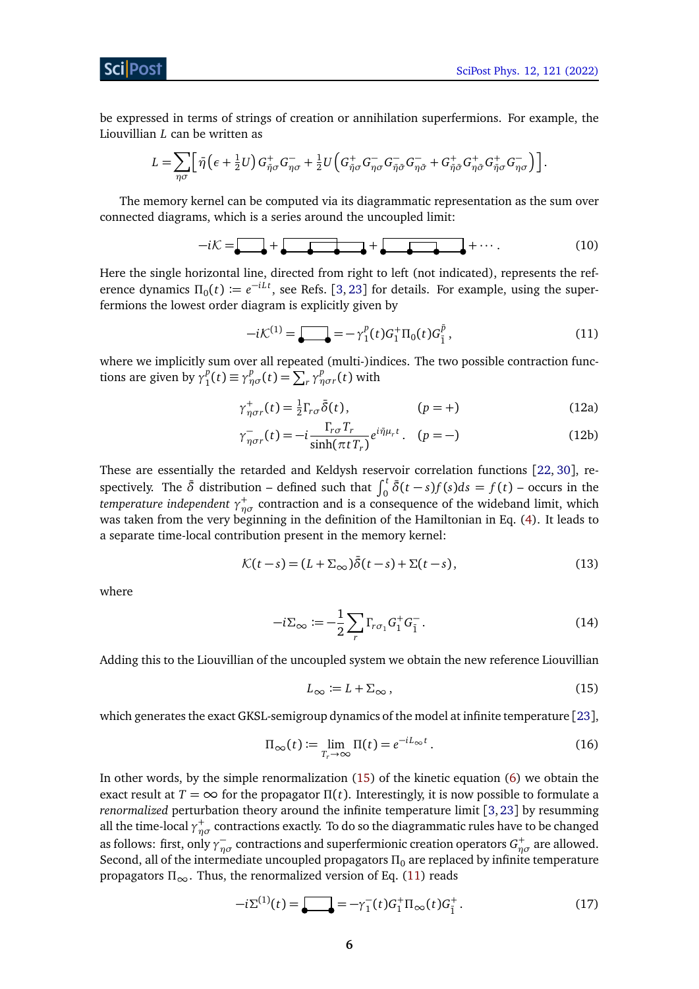be expressed in terms of strings of creation or annihilation superfermions. For example, the Liouvillian *L* can be written as

$$
L = \sum_{\eta\sigma} \Big[ \bar{\eta} \Big( \epsilon + \frac{1}{2} U \Big) G^+_{\bar{\eta}\sigma} G^-_{\eta\sigma} + \frac{1}{2} U \Big( G^+_{\bar{\eta}\sigma} G^-_{\eta\sigma} G^-_{\bar{\eta}\bar{\sigma}} G^-_{\eta\bar{\sigma}} + G^+_{\bar{\eta}\bar{\sigma}} G^+_{\eta\bar{\sigma}} G^+_{\bar{\eta}\sigma} G^-_{\eta\sigma} \Big) \Big].
$$

The memory kernel can be computed via its diagrammatic representation as the sum over connected diagrams, which is a series around the uncoupled limit:

$$
-i\mathcal{K}=\underbrace{\qquad \qquad }_{\bullet}+\underbrace{\qquad \qquad }_{\bullet}+\underbrace{\qquad \qquad }_{\bullet}+\underbrace{\qquad \qquad }_{\bullet}+\cdots. \tag{10}
$$

Here the single horizontal line, directed from right to left (not indicated), represents the reference dynamics  $\Pi_0(t) := e^{-iLt}$ , see Refs. [[3,](#page-19-3) [23](#page-21-1)] for details. For example, using the superfermions the lowest order diagram is explicitly given by

<span id="page-5-3"></span><span id="page-5-1"></span>
$$
-i\mathcal{K}^{(1)} = \sum_{\mathbf{r}} = -\gamma_1^p(t)G_1^{\dagger}\Pi_0(t)G_{\bar{1}}^{\bar{p}},\tag{11}
$$

where we implicitly sum over all repeated (multi-)indices. The two possible contraction functions are given by  $\gamma_1^p$  $\gamma_1^p(t) \equiv \gamma_{\eta\sigma}^p(t) = \sum_r \gamma_{\eta\sigma r}^p(t)$  with

$$
\gamma_{\eta\sigma r}^+(t) = \frac{1}{2} \Gamma_{r\sigma} \bar{\delta}(t), \qquad (p = +)
$$
\n(12a)

$$
\gamma_{\eta\sigma r}^-(t) = -i \frac{\Gamma_{r\sigma} T_r}{\sinh(\pi t T_r)} e^{i\tilde{\eta}\mu_r t} \quad (p = -)
$$
\n(12b)

These are essentially the retarded and Keldysh reservoir correlation functions [[22,](#page-21-0) [30](#page-21-8)], respectively. The  $\bar{\delta}$  distribution – defined such that  $\int_0^t \bar{\delta}(t-s)f(s)ds = f(t)$  – occurs in the t*emperature independent*  $γ_{\eta\sigma}^{+}$  contraction and is a consequence of the wideband limit, which was taken from the very beginning in the definition of the Hamiltonian in Eq. [\(4\)](#page-4-1). It leads to a separate time-local contribution present in the memory kernel:

$$
\mathcal{K}(t-s) = (L + \Sigma_{\infty})\bar{\delta}(t-s) + \Sigma(t-s),\tag{13}
$$

where

$$
-i\Sigma_{\infty} := -\frac{1}{2} \sum_{r} \Gamma_{r\sigma_1} G_1^+ G_1^-.
$$
 (14)

Adding this to the Liouvillian of the uncoupled system we obtain the new reference Liouvillian

<span id="page-5-4"></span><span id="page-5-2"></span><span id="page-5-0"></span>
$$
L_{\infty} := L + \Sigma_{\infty},\tag{15}
$$

which generates the exact GKSL-semigroup dynamics of the model at infinite temperature [[23](#page-21-1)],

$$
\Pi_{\infty}(t) \coloneqq \lim_{T_r \to \infty} \Pi(t) = e^{-iL_{\infty}t} \,. \tag{16}
$$

In other words, by the simple renormalization [\(15\)](#page-5-0) of the kinetic equation [\(6\)](#page-4-2) we obtain the exact result at  $T = \infty$  for the propagator  $\Pi(t)$ . Interestingly, it is now possible to formulate a *renormalized* perturbation theory around the infinite temperature limit [[3,](#page-19-3)[23](#page-21-1)] by resumming all the time-local  $\gamma_{\eta\sigma}^{+}$  contractions exactly. To do so the diagrammatic rules have to be changed as follows: first, only  $\gamma_{\eta\sigma}^-$  contractions and superfermionic creation operators  $G_{\eta\sigma}^+$  are allowed. Second, all of the intermediate uncoupled propagators  $\Pi_0$  are replaced by infinite temperature propagators *Π*∞. Thus, the renormalized version of Eq. [\(11\)](#page-5-1) reads

$$
-i\Sigma^{(1)}(t) = \sum_{\sigma} = -\gamma_1^-(t)G_1^+ \Pi_{\infty}(t)G_1^+.
$$
 (17)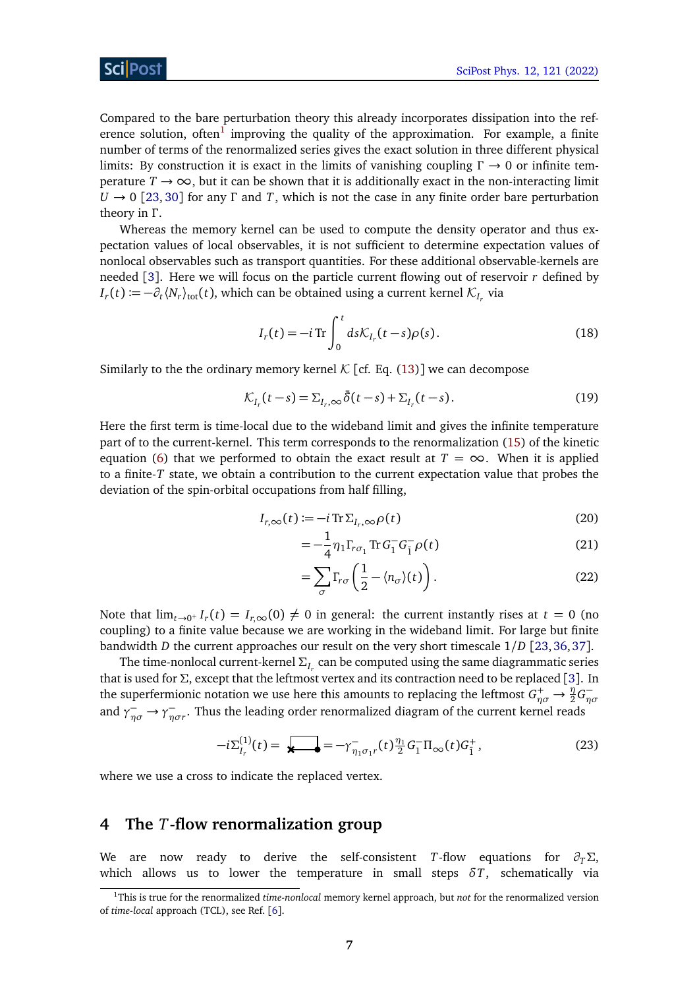Compared to the bare perturbation theory this already incorporates dissipation into the ref-erence solution, often<sup>[1](#page-6-1)</sup> improving the quality of the approximation. For example, a finite number of terms of the renormalized series gives the exact solution in three different physical limits: By construction it is exact in the limits of vanishing coupling *Γ* → 0 or infinite temperature  $T \to \infty$ , but it can be shown that it is additionally exact in the non-interacting limit *U* → 0 [[23,](#page-21-1) [30](#page-21-8)] for any *Γ* and *T*, which is not the case in any finite order bare perturbation theory in *Γ* .

Whereas the memory kernel can be used to compute the density operator and thus expectation values of local observables, it is not sufficient to determine expectation values of nonlocal observables such as transport quantities. For these additional observable-kernels are needed [[3](#page-19-3)]. Here we will focus on the particle current flowing out of reservoir *r* defined by  $I_r(t) \coloneqq -\partial_t \langle N_r \rangle_{\text{tot}}(t)$ , which can be obtained using a current kernel  $\mathcal{K}_{I_r}$  via

$$
I_r(t) = -i \operatorname{Tr} \int_0^t ds \mathcal{K}_{I_r}(t-s) \rho(s).
$$
 (18)

Similarly to the the ordinary memory kernel  $\mathcal{K}$  [cf. Eq. [\(13\)](#page-5-2)] we can decompose

$$
\mathcal{K}_{I_r}(t-s) = \Sigma_{I_r,\infty} \bar{\delta}(t-s) + \Sigma_{I_r}(t-s).
$$
\n(19)

Here the first term is time-local due to the wideband limit and gives the infinite temperature part of to the current-kernel. This term corresponds to the renormalization [\(15\)](#page-5-0) of the kinetic equation [\(6\)](#page-4-2) that we performed to obtain the exact result at  $T = \infty$ . When it is applied to a finite-*T* state, we obtain a contribution to the current expectation value that probes the deviation of the spin-orbital occupations from half filling,

$$
I_{r,\infty}(t) := -i \operatorname{Tr} \Sigma_{I_r,\infty} \rho(t)
$$
\n(20)

$$
=-\frac{1}{4}\eta_1\Gamma_{r\sigma_1}\operatorname{Tr}G_1^-G_1^-\rho(t)
$$
\n(21)

<span id="page-6-2"></span>
$$
=\sum_{\sigma}\Gamma_{r\sigma}\left(\frac{1}{2}-\langle n_{\sigma}\rangle(t)\right). \tag{22}
$$

Note that  $\lim_{t\to 0^+} I_r(t) = I_{r,\infty}(0) \neq 0$  in general: the current instantly rises at  $t = 0$  (no coupling) to a finite value because we are working in the wideband limit. For large but finite bandwidth *D* the current approaches our result on the very short timescale 1*/D* [[23,](#page-21-1)[36,](#page-21-14)[37](#page-22-0)].

The time-nonlocal current-kernel  $\Sigma_{I_r}$  can be computed using the same diagrammatic series that is used for *Σ*, except that the leftmost vertex and its contraction need to be replaced [[3](#page-19-3)]. In the superfermionic notation we use here this amounts to replacing the leftmost  $G_{\eta\sigma}^+ \to \frac{\eta}{2}$  $\frac{\eta}{2} G_{\eta}^{-}$ *ησ* and  $\gamma_{\eta\sigma}^-$  →  $\gamma_{\eta}^ _{\eta \sigma r}^{-}.$  Thus the leading order renormalized diagram of the current kernel reads

$$
-i\Sigma_{I_r}^{(1)}(t) = \sqrt{\sum_{i=1}^n (-1)^{n} \sum_{j=1}^n \sigma_{j}^2 t_j^2} G_1^{-} \Pi_{\infty}(t) G_1^{+}, \qquad (23)
$$

where we use a cross to indicate the replaced vertex.

## <span id="page-6-0"></span>**4 The** *T***-flow renormalization group**

We are now ready to derive the self-consistent *T*-flow equations for  $\partial_T \Sigma$ , which allows us to lower the temperature in small steps  $\delta T$ , schematically via

<span id="page-6-1"></span><sup>1</sup>This is true for the renormalized *time-nonlocal* memory kernel approach, but *not* for the renormalized version of *time-local* approach (TCL), see Ref. [[6](#page-19-6)].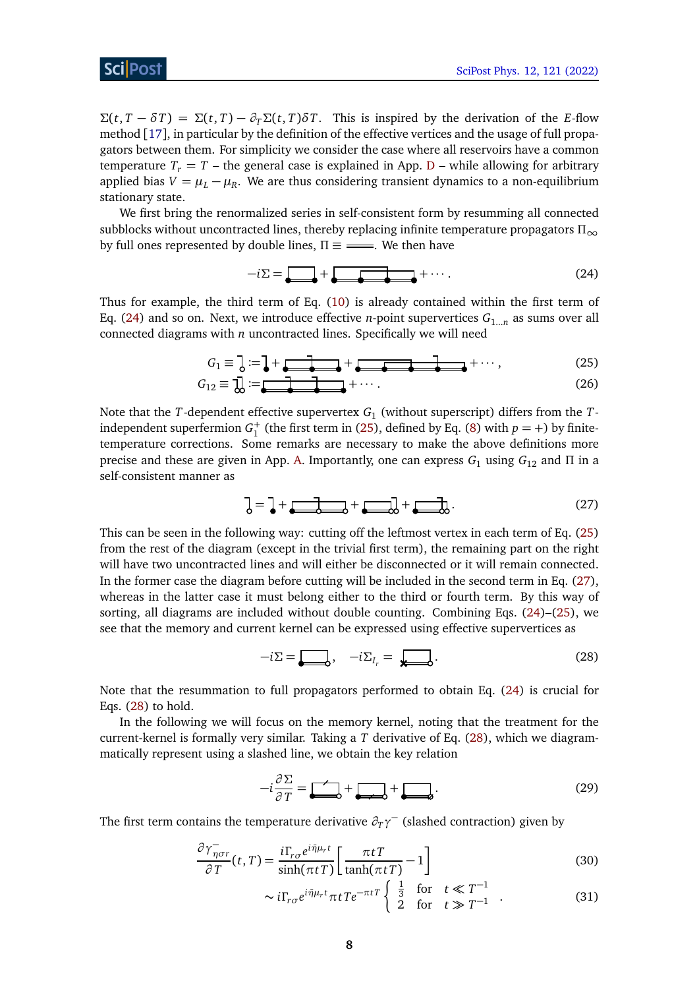*Σ*(*t*, *T* − *δT*) = *Σ*(*t*, *T*) −  $∂_T\Sigma(t, T)$ *δT*. This is inspired by the derivation of the *E*-flow method [[17](#page-20-8)], in particular by the definition of the effective vertices and the usage of full propagators between them. For simplicity we consider the case where all reservoirs have a common temperature  $T_r = T$  – the general case is explained in App. [D](#page-17-0) – while allowing for arbitrary applied bias  $V = \mu_L - \mu_R$ . We are thus considering transient dynamics to a non-equilibrium stationary state.

We first bring the renormalized series in self-consistent form by resumming all connected subblocks without uncontracted lines, thereby replacing infinite temperature propagators *Π*∞ by full ones represented by double lines,  $\Pi \equiv$  =  $\equiv$ . We then have

<span id="page-7-5"></span><span id="page-7-1"></span><span id="page-7-0"></span>−*iΣ* = + + ··· . (24)

Thus for example, the third term of Eq. [\(10\)](#page-5-3) is already contained within the first term of Eq. [\(24\)](#page-7-0) and so on. Next, we introduce effective *n*-point supervertices  $G_{1...n}$  as sums over all connected diagrams with *n* uncontracted lines. Specifically we will need

$$
G_1 \equiv \begin{bmatrix} \vdots \\ \vdots \end{bmatrix} + \begin{bmatrix} \cdot \\ \cdot \end{bmatrix} + \begin{bmatrix} \cdot \\ \cdot \end{bmatrix} + \begin{bmatrix} \cdot \\ \cdot \end{bmatrix} + \begin{bmatrix} \cdot \\ \cdot \end{bmatrix} + \cdots, \tag{25}
$$
\n
$$
G_{12} \equiv \begin{bmatrix} \cdot \\ \cdot \end{bmatrix} := \begin{bmatrix} \cdot \\ \cdot \end{bmatrix} + \begin{bmatrix} \cdot \\ \cdot \end{bmatrix} + \cdots.
$$

Note that the *T*-dependent effective supervertex *G*<sup>1</sup> (without superscript) differs from the *T*independent superfermion  $G_1^+$  (the first term in [\(25\)](#page-7-1), defined by Eq. [\(8\)](#page-4-3) with  $p = +$ ) by finitetemperature corrections. Some remarks are necessary to make the above definitions more precise and these are given in App. [A.](#page-15-0) Importantly, one can express *G*<sup>1</sup> using *G*<sup>12</sup> and *Π* in a self-consistent manner as

<span id="page-7-2"></span>
$$
\mathbf{a} = \mathbf{a} + \mathbf{a} + \mathbf{a} + \mathbf{a} + \mathbf{a} + \mathbf{a} + \mathbf{a} + \mathbf{a} + \mathbf{a} + \mathbf{a} + \mathbf{a} + \mathbf{a} + \mathbf{a} + \mathbf{a} + \mathbf{a} + \mathbf{a} + \mathbf{a} + \mathbf{a} + \mathbf{a} + \mathbf{a} + \mathbf{a} + \mathbf{a} + \mathbf{a} + \mathbf{a} + \mathbf{a} + \mathbf{a} + \mathbf{a} + \mathbf{a} + \mathbf{a} + \mathbf{a} + \mathbf{a} + \mathbf{a} + \mathbf{a} + \mathbf{a} + \mathbf{a} + \mathbf{a} + \mathbf{a} + \mathbf{a} + \mathbf{a} + \mathbf{a} + \mathbf{a} + \mathbf{a} + \mathbf{a} + \mathbf{a} + \mathbf{a} + \mathbf{a} + \mathbf{a} + \mathbf{a} + \mathbf{a} + \mathbf{a} + \mathbf{a} + \mathbf{a} + \mathbf{a} + \mathbf{a} + \mathbf{a} + \mathbf{a} + \mathbf{a} + \mathbf{a} + \mathbf{a} + \mathbf{a} + \mathbf{a} + \mathbf{a} + \mathbf{a} + \mathbf{a} + \mathbf{a} + \mathbf{a} + \mathbf{a} + \mathbf{a} + \mathbf{a} + \mathbf{a} + \mathbf{a} + \mathbf{a} + \mathbf{a} + \mathbf{a} + \mathbf{a} + \mathbf{a} + \mathbf{a} + \mathbf{a} + \mathbf{a} + \mathbf{a} + \mathbf{a} + \mathbf{a} + \mathbf{a} + \mathbf{a} + \mathbf{a} + \mathbf{a} + \mathbf{a} + \mathbf{a} + \mathbf{a} + \mathbf{a} + \mathbf{a} + \mathbf{a} + \mathbf{a} + \mathbf{a} + \mathbf{a} + \mathbf{a} + \mathbf{a} + \mathbf{a} + \mathbf{a} + \mathbf{a} + \mathbf{a} + \mathbf{a} + \mathbf{a} + \mathbf{a} + \mathbf{a} + \mathbf{a} + \mathbf{a} + \mathbf{
$$

This can be seen in the following way: cutting off the leftmost vertex in each term of Eq. [\(25\)](#page-7-1) from the rest of the diagram (except in the trivial first term), the remaining part on the right will have two uncontracted lines and will either be disconnected or it will remain connected. In the former case the diagram before cutting will be included in the second term in Eq. [\(27\)](#page-7-2), whereas in the latter case it must belong either to the third or fourth term. By this way of sorting, all diagrams are included without double counting. Combining Eqs.  $(24)$ – $(25)$ , we see that the memory and current kernel can be expressed using effective supervertices as

<span id="page-7-3"></span>
$$
-i\Sigma = \sum_{r} \frac{1}{r} \sum_{l_r} \frac{1}{r} \sum_{l_r} \frac{1}{r} \sum_{r \in \mathcal{R}} \frac{1}{r} \tag{28}
$$

Note that the resummation to full propagators performed to obtain Eq. [\(24\)](#page-7-0) is crucial for Eqs. [\(28\)](#page-7-3) to hold.

In the following we will focus on the memory kernel, noting that the treatment for the current-kernel is formally very similar. Taking a *T* derivative of Eq. [\(28\)](#page-7-3), which we diagrammatically represent using a slashed line, we obtain the key relation

<span id="page-7-4"></span>
$$
-i\frac{\partial \Sigma}{\partial T} = \underbrace{\qquad}_{\qquad \text{odd}} + \underbrace{\qquad}_{\text{even}} + \underbrace{\qquad}_{\text{odd}}.
$$

The first term contains the temperature derivative  $\partial_T \gamma$ <sup>-</sup> (slashed contraction) given by

$$
\frac{\partial \gamma_{\eta\sigma r}^{-}}{\partial T}(t,T) = \frac{i\Gamma_{r\sigma}e^{i\tilde{\eta}\mu_{r}t}}{\sinh(\pi t T)} \left[\frac{\pi t T}{\tanh(\pi t T)} - 1\right]
$$
\n(30)

<span id="page-7-6"></span>
$$
\sim i\Gamma_{r\sigma}e^{i\bar{\eta}\mu_{r}t}\pi tTe^{-\pi tT}\begin{cases} \frac{1}{3} & \text{for } t \ll T^{-1} \\ 2 & \text{for } t \gg T^{-1} \end{cases}.
$$
 (31)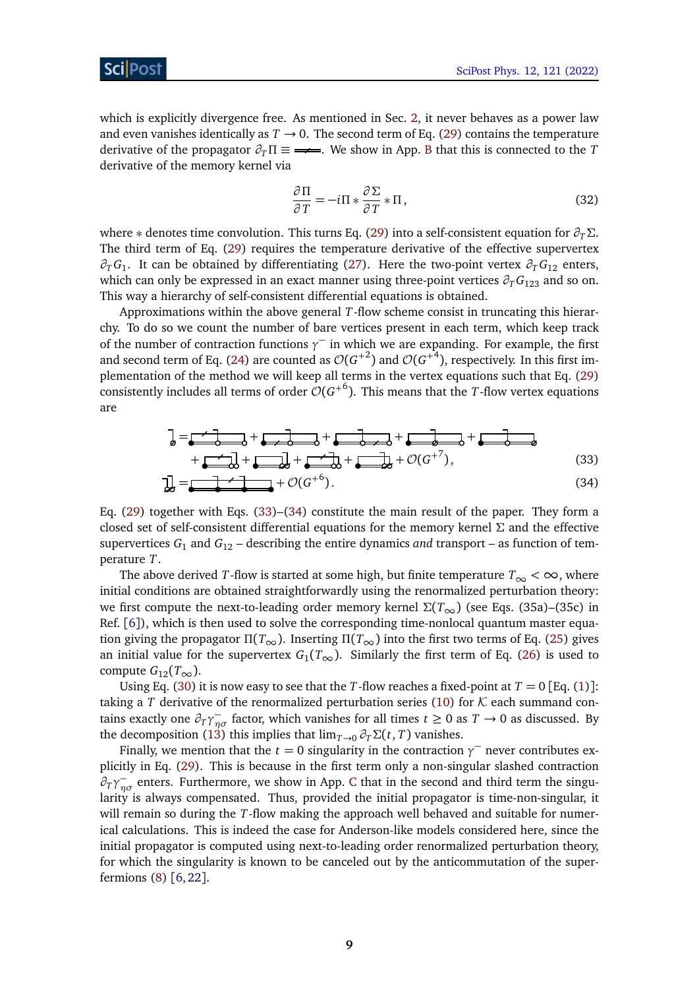which is explicitly divergence free. As mentioned in Sec. [2,](#page-2-0) it never behaves as a power law and even vanishes identically as  $T \rightarrow 0$ . The second term of Eq. [\(29\)](#page-7-4) contains the temperature derivative of the propagator  $\partial_T \Pi \equiv \implies$ . We show in App. [B](#page-16-0) that this is connected to the *T* derivative of the memory kernel via

<span id="page-8-2"></span><span id="page-8-1"></span><span id="page-8-0"></span>
$$
\frac{\partial \Pi}{\partial T} = -i\Pi * \frac{\partial \Sigma}{\partial T} * \Pi,
$$
\n(32)

where ∗ denotes time convolution. This turns Eq. [\(29\)](#page-7-4) into a self-consistent equation for *∂TΣ*. The third term of Eq. [\(29\)](#page-7-4) requires the temperature derivative of the effective supervertex  $\partial_T G_1$ . It can be obtained by differentiating [\(27\)](#page-7-2). Here the two-point vertex  $\partial_T G_{12}$  enters, which can only be expressed in an exact manner using three-point vertices  $\partial_T G_{123}$  and so on. This way a hierarchy of self-consistent differential equations is obtained.

Approximations within the above general *T*-flow scheme consist in truncating this hierarchy. To do so we count the number of bare vertices present in each term, which keep track of the number of contraction functions  $\gamma^-$  in which we are expanding. For example, the first and second term of Eq. [\(24\)](#page-7-0) are counted as  $\mathcal{O}(G^{+2})$  and  $\mathcal{O}(G^{+4})$ , respectively. In this first implementation of the method we will keep all terms in the vertex equations such that Eq. [\(29\)](#page-7-4) consistently includes all terms of order  $O(G^{+6})$ . This means that the *T*-flow vertex equations are

$$
\frac{1}{6} = \frac{1}{\frac{1}{\sqrt{1-\frac{1}{\sqrt{1-\frac{1}{\sqrt{1-\frac{1}{\sqrt{1-\frac{1}{\sqrt{1-\frac{1}{\sqrt{1-\frac{1}{\sqrt{1-\frac{1}{\sqrt{1-\frac{1}{\sqrt{1-\frac{1}{\sqrt{1-\frac{1}{\sqrt{1-\frac{1}{\sqrt{1-\frac{1}{\sqrt{1-\frac{1}{\sqrt{1-\frac{1}{\sqrt{1-\frac{1}{\sqrt{1-\frac{1}{\sqrt{1-\frac{1}{\sqrt{1-\frac{1}{\sqrt{1-\frac{1}{\sqrt{1-\frac{1}{\sqrt{1-\frac{1}{\sqrt{1-\frac{1}{\sqrt{1-\frac{1}{\sqrt{1-\frac{1}{\sqrt{1-\frac{1}{\sqrt{1-\frac{1}{\sqrt{1-\frac{1}{\sqrt{1-\frac{1}{\sqrt{1-\frac{1}{\sqrt{1-\frac{1}{\sqrt{1-\frac{1}{\sqrt{1-\frac{1}{\sqrt{1-\frac{1}{\sqrt{1-\frac{1}{\sqrt{1-\frac{1}{\sqrt{1-\frac{1}{\sqrt{1-\frac{1}{\sqrt{1-\frac{1}{\sqrt{1-\frac{1}{\sqrt{1+\frac{1}{1-\frac{1}{\sqrt{1+\frac{1}{1-\frac{1}{\sqrt{1+\frac{1}{1-\frac{1}{\sqrt{1+\frac{1}{1-\frac{1}{\sqrt{1+\frac{1}{1-\frac{1}{\sqrt{1+\frac{1}{1+\frac{1}{\sqrt{1+\frac{1}{1+\frac{1}{\sqrt{1+\frac{1}{1+\frac{1}{\sqrt{1+\frac{1}{1+\frac{1}{\sqrt{1+\frac{1}{1+\frac{1}{\sqrt{1+\frac{1}{1+\frac{1}{1+\frac{1}{1+\frac{1}{\sqrt{1+\frac{1}{1+\frac{1}{1+\frac{1}{1+\frac{1}{1+\frac{1}{1+\frac{1}{1+\frac{1}{1+\frac{1}{1+\frac{1}{1+\frac{1}{1+\frac{1}{1+\frac{1}{1+\frac{1}{1+\frac{1}{1+\frac{1}{1+\frac{1}{1+\frac{1}{1+\frac{1}{1+\frac{1}{1+\frac{1}{1+\frac{1}{1+\frac{1}{1+\frac{1}{1+\frac{1}{1+\frac{1}{1+\frac{1}{1+\frac{1}{1+\frac{1}{1+\frac{1}{1+\frac{1}{1+\frac{1}{1+\frac{1}{1+\frac{1}{1+\frac{1}{1+\frac{1}{1
$$

$$
\overrightarrow{Q} = \overrightarrow{P} = \overrightarrow{P} + \mathcal{O}(G^{+6}). \tag{34}
$$

Eq. [\(29\)](#page-7-4) together with Eqs. [\(33\)](#page-8-0)–[\(34\)](#page-8-1) constitute the main result of the paper. They form a closed set of self-consistent differential equations for the memory kernel *Σ* and the effective supervertices  $G_1$  and  $G_{12}$  – describing the entire dynamics *and* transport – as function of temperature *T*.

The above derived *T*-flow is started at some high, but finite temperature  $T_{\infty} < \infty$ , where initial conditions are obtained straightforwardly using the renormalized perturbation theory: we first compute the next-to-leading order memory kernel *Σ*(*T*∞) (see Eqs. (35a)–(35c) in Ref. [[6](#page-19-6)]), which is then used to solve the corresponding time-nonlocal quantum master equation giving the propagator  $\Pi(T_{\infty})$ . Inserting  $\Pi(T_{\infty})$  into the first two terms of Eq. [\(25\)](#page-7-1) gives an initial value for the supervertex  $G_1(T_\infty).$  Similarly the first term of Eq. [\(26\)](#page-7-5) is used to compute  $G_{12}(T_\infty)$ .

Using Eq. [\(30\)](#page-7-6) it is now easy to see that the *T*-flow reaches a fixed-point at  $T = 0$  [Eq. [\(1\)](#page-3-1)]: taking a *T* derivative of the renormalized perturbation series [\(10\)](#page-5-3) for  $K$  each summand contains exactly one  $\partial_T \gamma_{\eta\sigma}^-$  factor, which vanishes for all times  $t \ge 0$  as  $T \to 0$  as discussed. By the decomposition [\(13\)](#page-5-2) this implies that  $\lim_{T\to 0} \partial_T \Sigma(t,T)$  vanishes.

Finally, we mention that the  $t = 0$  singularity in the contraction  $\gamma^-$  never contributes explicitly in Eq. [\(29\)](#page-7-4). This is because in the first term only a non-singular slashed contraction  $\partial_T \gamma_{\eta\sigma}^-$  enters. Furthermore, we show in App. [C](#page-16-1) that in the second and third term the singularity is always compensated. Thus, provided the initial propagator is time-non-singular, it will remain so during the *T*-flow making the approach well behaved and suitable for numerical calculations. This is indeed the case for Anderson-like models considered here, since the initial propagator is computed using next-to-leading order renormalized perturbation theory, for which the singularity is known to be canceled out by the anticommutation of the superfermions [\(8\)](#page-4-3) [[6,](#page-19-6)[22](#page-21-0)].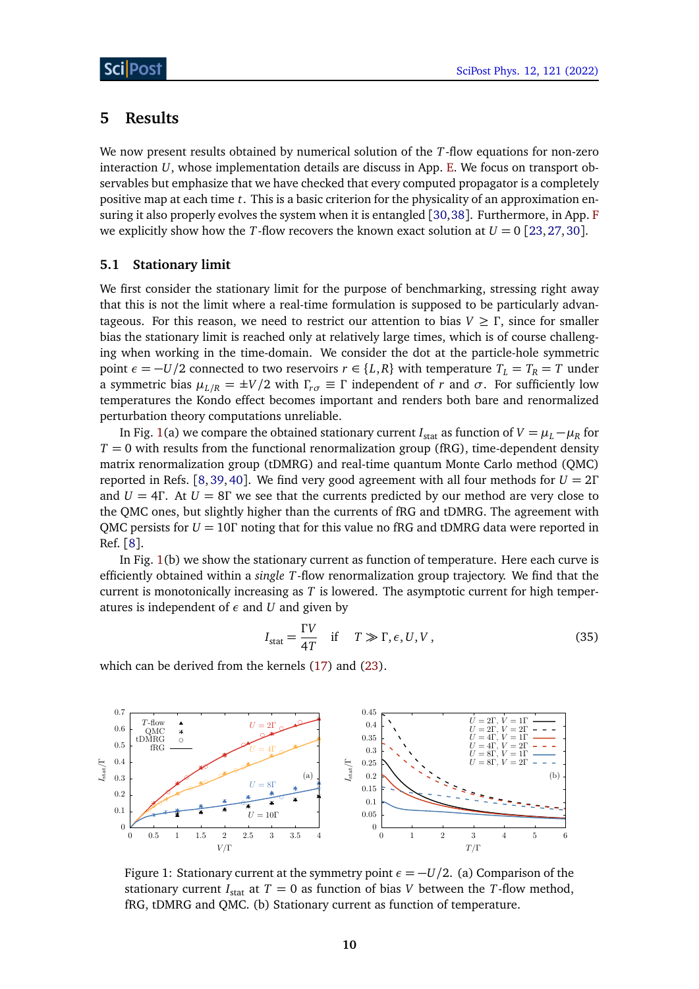## <span id="page-9-0"></span>**5 Results**

We now present results obtained by numerical solution of the *T*-flow equations for non-zero interaction *U*, whose implementation details are discuss in App. [E.](#page-17-1) We focus on transport observables but emphasize that we have checked that every computed propagator is a completely positive map at each time *t*. This is a basic criterion for the physicality of an approximation ensuring it also properly evolves the system when it is entangled [[30,](#page-21-8)[38](#page-22-1)]. Furthermore, in App. [F](#page-18-0) we explicitly show how the *T*-flow recovers the known exact solution at  $U = 0$  [[23,](#page-21-1) [27,](#page-21-5) [30](#page-21-8)].

#### <span id="page-9-1"></span>**5.1 Stationary limit**

We first consider the stationary limit for the purpose of benchmarking, stressing right away that this is not the limit where a real-time formulation is supposed to be particularly advantageous. For this reason, we need to restrict our attention to bias  $V \geq \Gamma$ , since for smaller bias the stationary limit is reached only at relatively large times, which is of course challenging when working in the time-domain. We consider the dot at the particle-hole symmetric point  $\epsilon = -U/2$  connected to two reservoirs  $r \in \{L, R\}$  with temperature  $T_L = T_R = T$  under a symmetric bias  $\mu_{L/R} = \pm V/2$  with  $\Gamma_{r\sigma} \equiv \Gamma$  independent of *r* and  $\sigma$ . For sufficiently low temperatures the Kondo effect becomes important and renders both bare and renormalized perturbation theory computations unreliable.

In Fig. [1\(](#page-9-2)a) we compare the obtained stationary current  $I_{\text{stat}}$  as function of  $V = \mu_L - \mu_R$  for  $T = 0$  with results from the functional renormalization group (fRG), time-dependent density matrix renormalization group (tDMRG) and real-time quantum Monte Carlo method (QMC) reported in Refs. [[8,](#page-20-11) [39,](#page-22-2) [40](#page-22-3)]. We find very good agreement with all four methods for *U* = 2*Γ* and  $U = 4\Gamma$ . At  $U = 8\Gamma$  we see that the currents predicted by our method are very close to the QMC ones, but slightly higher than the currents of fRG and tDMRG. The agreement with QMC persists for  $U = 10\Gamma$  noting that for this value no fRG and tDMRG data were reported in Ref. [[8](#page-20-11)].

In Fig. [1\(](#page-9-2)b) we show the stationary current as function of temperature. Here each curve is efficiently obtained within a *single T*-flow renormalization group trajectory. We find that the current is monotonically increasing as *T* is lowered. The asymptotic current for high temperatures is independent of *ε* and *U* and given by

$$
I_{\text{stat}} = \frac{\Gamma V}{4T} \quad \text{if} \quad T \gg \Gamma, \epsilon, U, V \,, \tag{35}
$$

which can be derived from the kernels [\(17\)](#page-5-4) and [\(23\)](#page-6-2).

<span id="page-9-2"></span>

Figure 1: Stationary current at the symmetry point  $\epsilon = -U/2$ . (a) Comparison of the stationary current  $I_{\text{stat}}$  at  $T = 0$  as function of bias *V* between the *T*-flow method, fRG, tDMRG and QMC. (b) Stationary current as function of temperature.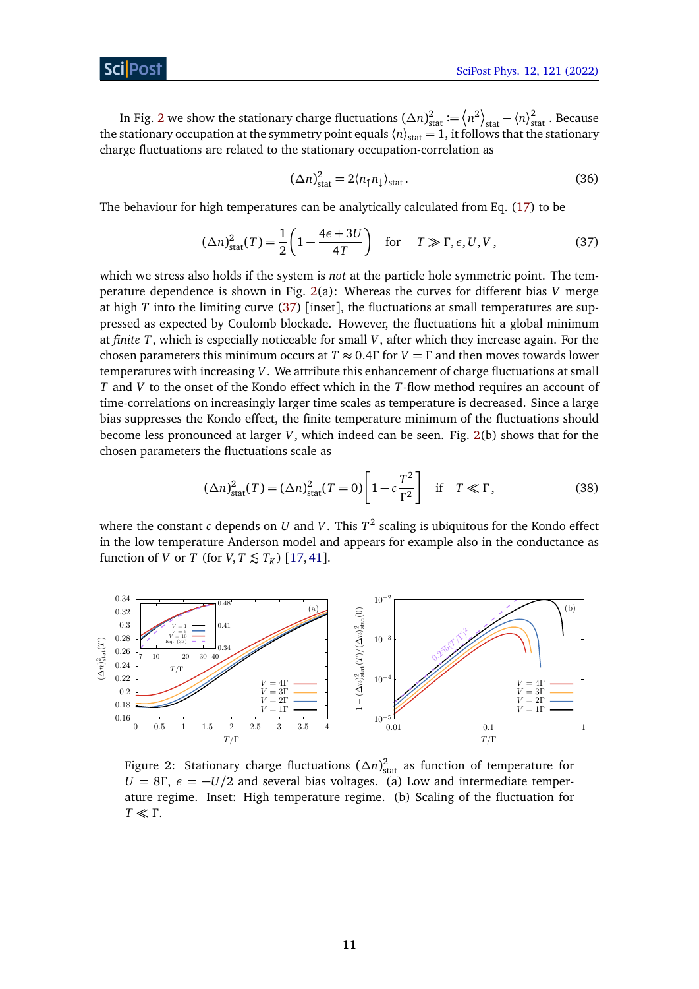In Fig. [2](#page-10-0) we show the stationary charge fluctuations  $(\Delta n)_{\text{stat}}^2 := \left\langle n^2 \right\rangle_{\text{stat}} - \left\langle n \right\rangle_{\text{stat}}^2$ . Because the stationary occupation at the symmetry point equals  $\langle n \rangle_{\text{stat}} = 1$ , it follows that the stationary charge fluctuations are related to the stationary occupation-correlation as

<span id="page-10-1"></span>
$$
(\Delta n)_{\text{stat}}^2 = 2 \langle n_{\uparrow} n_{\downarrow} \rangle_{\text{stat}}. \tag{36}
$$

The behaviour for high temperatures can be analytically calculated from Eq. [\(17\)](#page-5-4) to be

$$
(\Delta n)_{\text{stat}}^2(T) = \frac{1}{2} \left( 1 - \frac{4\epsilon + 3U}{4T} \right) \quad \text{for} \quad T \gg \Gamma, \epsilon, U, V \,, \tag{37}
$$

which we stress also holds if the system is *not* at the particle hole symmetric point. The temperature dependence is shown in Fig. [2\(](#page-10-0)a): Whereas the curves for different bias *V* merge at high *T* into the limiting curve [\(37\)](#page-10-1) [inset], the fluctuations at small temperatures are suppressed as expected by Coulomb blockade. However, the fluctuations hit a global minimum at *finite T*, which is especially noticeable for small *V*, after which they increase again. For the chosen parameters this minimum occurs at  $T \approx 0.4 \Gamma$  for  $V = \Gamma$  and then moves towards lower temperatures with increasing *V*. We attribute this enhancement of charge fluctuations at small *T* and *V* to the onset of the Kondo effect which in the *T*-flow method requires an account of time-correlations on increasingly larger time scales as temperature is decreased. Since a large bias suppresses the Kondo effect, the finite temperature minimum of the fluctuations should become less pronounced at larger *V*, which indeed can be seen. Fig. [2\(](#page-10-0)b) shows that for the chosen parameters the fluctuations scale as

$$
(\Delta n)_{\text{stat}}^2(T) = (\Delta n)_{\text{stat}}^2(T=0) \left[1 - c \frac{T^2}{\Gamma^2}\right] \quad \text{if} \quad T \ll \Gamma,\tag{38}
$$

where the constant *c* depends on *U* and *V*. This *T* 2 scaling is ubiquitous for the Kondo effect in the low temperature Anderson model and appears for example also in the conductance as function of *V* or *T* (for *V*,  $T \lesssim T_K$ ) [[17,](#page-20-8)[41](#page-22-4)].

<span id="page-10-0"></span>

Figure 2: Stationary charge fluctuations  $(\Delta n)_{\text{stat}}^2$  as function of temperature for  $U = 8\Gamma$ ,  $\epsilon = -U/2$  and several bias voltages. (a) Low and intermediate temperature regime. Inset: High temperature regime. (b) Scaling of the fluctuation for *T*  $\ll$  Γ.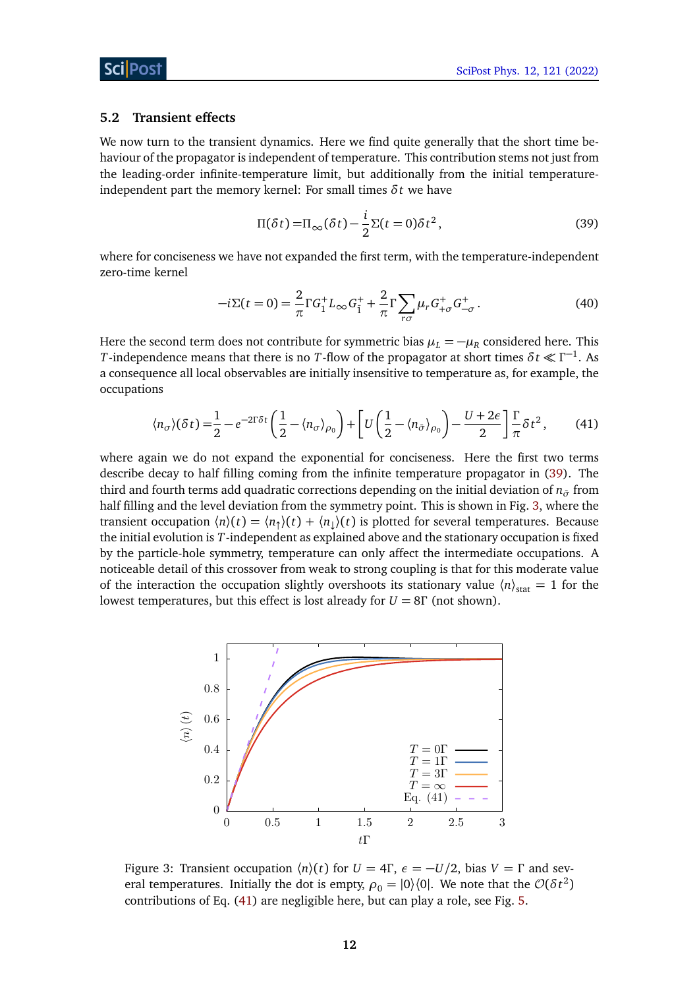#### <span id="page-11-0"></span>**5.2 Transient effects**

We now turn to the transient dynamics. Here we find quite generally that the short time behaviour of the propagator is independent of temperature. This contribution stems not just from the leading-order infinite-temperature limit, but additionally from the initial temperatureindependent part the memory kernel: For small times  $\delta t$  we have

<span id="page-11-3"></span><span id="page-11-1"></span>
$$
\Pi(\delta t) = \Pi_{\infty}(\delta t) - \frac{i}{2} \Sigma(t=0) \delta t^2, \qquad (39)
$$

where for conciseness we have not expanded the first term, with the temperature-independent zero-time kernel

$$
-i\Sigma(t=0) = \frac{2}{\pi} \Gamma G_1^+ L_\infty G_1^+ + \frac{2}{\pi} \Gamma \sum_{r\sigma} \mu_r G_{+\sigma}^+ G_{-\sigma}^+ \,. \tag{40}
$$

Here the second term does not contribute for symmetric bias  $\mu_L = -\mu_R$  considered here. This *T*-independence means that there is no *T*-flow of the propagator at short times  $\delta t \ll \Gamma^{-1}$ . As a consequence all local observables are initially insensitive to temperature as, for example, the occupations

$$
\langle n_{\sigma} \rangle (\delta t) = \frac{1}{2} - e^{-2\Gamma \delta t} \left( \frac{1}{2} - \langle n_{\sigma} \rangle_{\rho_0} \right) + \left[ U \left( \frac{1}{2} - \langle n_{\bar{\sigma}} \rangle_{\rho_0} \right) - \frac{U + 2\epsilon}{2} \right] \frac{\Gamma}{\pi} \delta t^2, \tag{41}
$$

where again we do not expand the exponential for conciseness. Here the first two terms describe decay to half filling coming from the infinite temperature propagator in [\(39\)](#page-11-1). The third and fourth terms add quadratic corrections depending on the initial deviation of  $n_{\bar{\sigma}}$  from half filling and the level deviation from the symmetry point. This is shown in Fig. [3,](#page-11-2) where the transient occupation  $\langle n \rangle(t) = \langle n_{\uparrow} \rangle(t) + \langle n_{\downarrow} \rangle(t)$  is plotted for several temperatures. Because the initial evolution is *T*-independent as explained above and the stationary occupation is fixed by the particle-hole symmetry, temperature can only affect the intermediate occupations. A noticeable detail of this crossover from weak to strong coupling is that for this moderate value of the interaction the occupation slightly overshoots its stationary value  $\langle n \rangle_{\text{stat}} = 1$  for the lowest temperatures, but this effect is lost already for  $U = 8\Gamma$  (not shown).

<span id="page-11-2"></span>

Figure 3: Transient occupation  $\langle n \rangle(t)$  for  $U = 4\Gamma$ ,  $\epsilon = -U/2$ , bias  $V = \Gamma$  and several temperatures. Initially the dot is empty,  $\rho_0 = |0\rangle\langle 0|$ . We note that the  $\mathcal{O}(\delta t^2)$ contributions of Eq. [\(41\)](#page-11-3) are negligible here, but can play a role, see Fig. [5.](#page-13-1)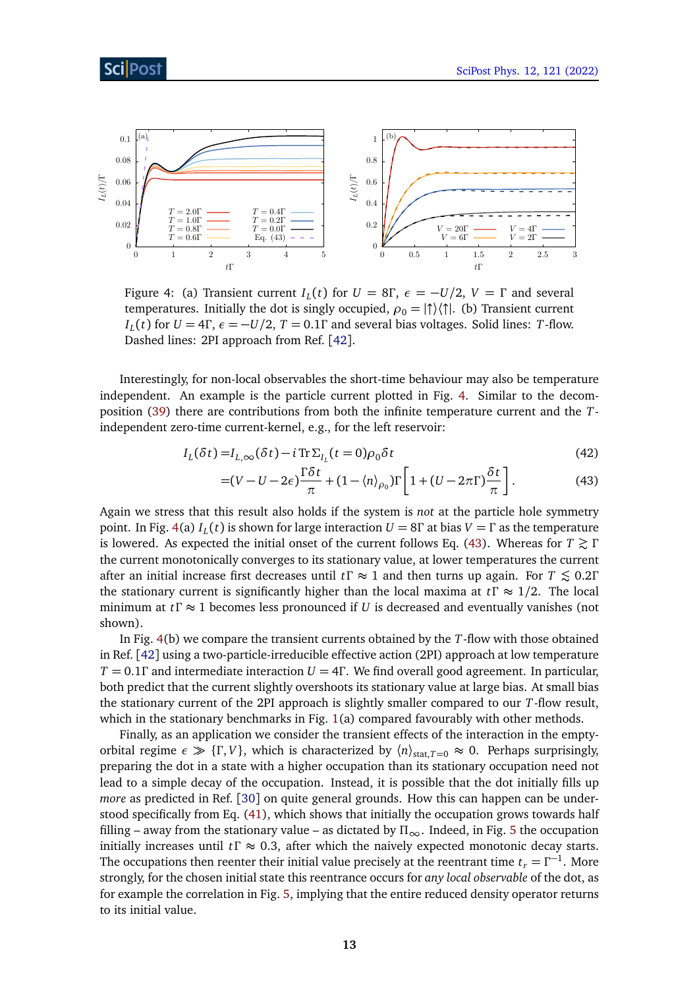

<span id="page-12-0"></span>

Figure 4: (a) Transient current  $I_L(t)$  for  $U = 8\Gamma$ ,  $\epsilon = -U/2$ ,  $V = \Gamma$  and several temperatures. Initially the dot is singly occupied,  $\rho_0 = |\uparrow\rangle\langle\uparrow|$ . (b) Transient current *I*<sub>L</sub>(*t*) for *U* = 4*Γ*,  $\epsilon$  = −*U*/2, *T* = 0.1*Γ* and several bias voltages. Solid lines: *T*-flow. Dashed lines: 2PI approach from Ref. [[42](#page-22-5)].

Interestingly, for non-local observables the short-time behaviour may also be temperature independent. An example is the particle current plotted in Fig. [4.](#page-12-0) Similar to the decomposition [\(39\)](#page-11-1) there are contributions from both the infinite temperature current and the *T*independent zero-time current-kernel, e.g., for the left reservoir:

$$
I_L(\delta t) = I_{L,\infty}(\delta t) - i \operatorname{Tr} \Sigma_{I_L}(t=0) \rho_0 \delta t \tag{42}
$$

<span id="page-12-1"></span>
$$
=(V-U-2\epsilon)\frac{\Gamma\delta t}{\pi}+(1-\langle n\rangle_{\rho_0})\Gamma\left[1+(U-2\pi\Gamma)\frac{\delta t}{\pi}\right].
$$
 (43)

Again we stress that this result also holds if the system is *not* at the particle hole symmetry point. In Fig. [4\(](#page-12-0)a) *I<sup>L</sup>* (*t*) is shown for large interaction *U* = 8*Γ* at bias *V* = *Γ* as the temperature is lowered. As expected the initial onset of the current follows Eq. [\(43\)](#page-12-1). Whereas for  $T \gtrsim \Gamma$ the current monotonically converges to its stationary value, at lower temperatures the current after an initial increase first decreases until *t*<sup>Γ</sup> ≈ 1 and then turns up again. For *T*  $\leq$  0.2Γ the stationary current is significantly higher than the local maxima at *tΓ* ≈ 1*/*2. The local minimum at *tΓ* ≈ 1 becomes less pronounced if *U* is decreased and eventually vanishes (not shown).

In Fig. [4\(](#page-12-0)b) we compare the transient currents obtained by the *T*-flow with those obtained in Ref. [[42](#page-22-5)] using a two-particle-irreducible effective action (2PI) approach at low temperature *T* = 0.1*Γ* and intermediate interaction *U* = 4*Γ* . We find overall good agreement. In particular, both predict that the current slightly overshoots its stationary value at large bias. At small bias the stationary current of the 2PI approach is slightly smaller compared to our *T*-flow result, which in the stationary benchmarks in Fig. [1\(](#page-9-2)a) compared favourably with other methods.

Finally, as an application we consider the transient effects of the interaction in the emptyorbital regime  $\epsilon \gg \{\Gamma, V\}$ , which is characterized by  $\langle n \rangle_{\text{stat}}$ ,  $T=0 \approx 0$ . Perhaps surprisingly, preparing the dot in a state with a higher occupation than its stationary occupation need not lead to a simple decay of the occupation. Instead, it is possible that the dot initially fills up *more* as predicted in Ref. [[30](#page-21-8)] on quite general grounds. How this can happen can be understood specifically from Eq. [\(41\)](#page-11-3), which shows that initially the occupation grows towards half filling – away from the stationary value – as dictated by  $\Pi_{\infty}$ . Indeed, in Fig. [5](#page-13-1) the occupation initially increases until *tΓ* ≈ 0.3, after which the naively expected monotonic decay starts. The occupations then reenter their initial value precisely at the reentrant time  $t_r = \Gamma^{-1}$ . More strongly, for the chosen initial state this reentrance occurs for *any local observable* of the dot, as for example the correlation in Fig. [5,](#page-13-1) implying that the entire reduced density operator returns to its initial value.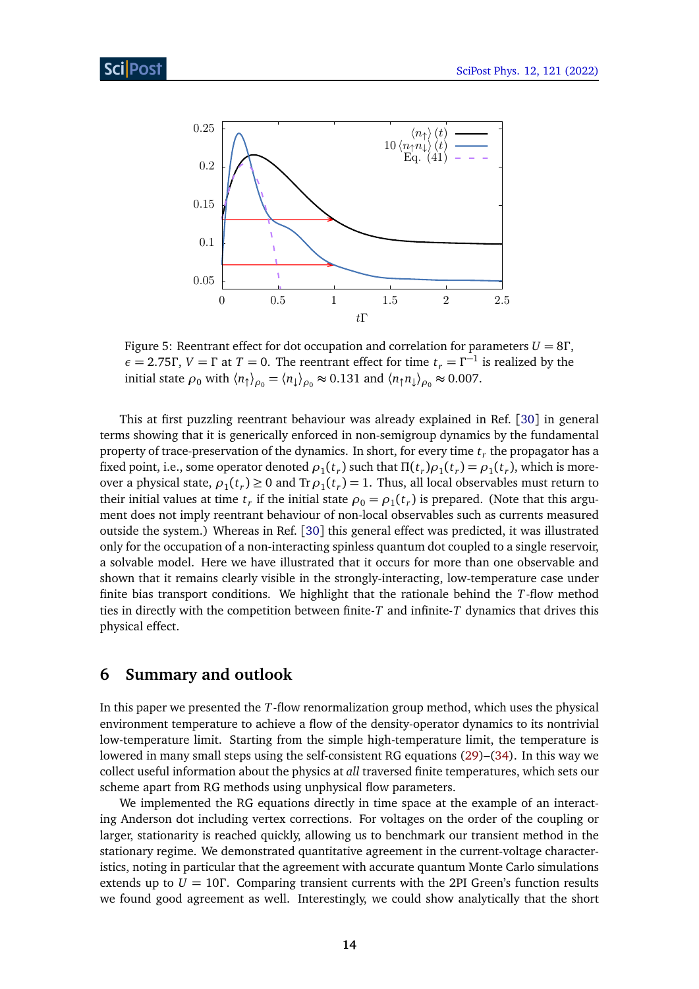<span id="page-13-1"></span>

Figure 5: Reentrant effect for dot occupation and correlation for parameters *U* = 8*Γ* ,  $\epsilon = 2.75\Gamma$ ,  $V = \Gamma$  at  $T = 0$ . The reentrant effect for time  $t_r = \Gamma^{-1}$  is realized by the initial state  $\rho_0$  with  $\langle n_\uparrow \rangle_{\rho_0} = \langle n_\downarrow \rangle_{\rho_0} \approx 0.131$  and  $\langle n_\uparrow n_\downarrow \rangle_{\rho_0} \approx 0.007$ .

This at first puzzling reentrant behaviour was already explained in Ref. [[30](#page-21-8)] in general terms showing that it is generically enforced in non-semigroup dynamics by the fundamental property of trace-preservation of the dynamics. In short, for every time *t<sup>r</sup>* the propagator has a fixed point, i.e., some operator denoted  $ρ_1(t_r)$  such that  $Π(t_r)ρ_1(t_r) = ρ_1(t_r)$ , which is moreover a physical state,  $\rho_1(t_r) \ge 0$  and  $\text{Tr} \rho_1(t_r) = 1$ . Thus, all local observables must return to their initial values at time  $t_r$  if the initial state  $\rho_0 = \rho_1(t_r)$  is prepared. (Note that this argument does not imply reentrant behaviour of non-local observables such as currents measured outside the system.) Whereas in Ref. [[30](#page-21-8)] this general effect was predicted, it was illustrated only for the occupation of a non-interacting spinless quantum dot coupled to a single reservoir, a solvable model. Here we have illustrated that it occurs for more than one observable and shown that it remains clearly visible in the strongly-interacting, low-temperature case under finite bias transport conditions. We highlight that the rationale behind the *T*-flow method ties in directly with the competition between finite-*T* and infinite-*T* dynamics that drives this physical effect.

## <span id="page-13-0"></span>**6 Summary and outlook**

In this paper we presented the *T*-flow renormalization group method, which uses the physical environment temperature to achieve a flow of the density-operator dynamics to its nontrivial low-temperature limit. Starting from the simple high-temperature limit, the temperature is lowered in many small steps using the self-consistent RG equations [\(29\)](#page-7-4)–[\(34\)](#page-8-1). In this way we collect useful information about the physics at *all* traversed finite temperatures, which sets our scheme apart from RG methods using unphysical flow parameters.

We implemented the RG equations directly in time space at the example of an interacting Anderson dot including vertex corrections. For voltages on the order of the coupling or larger, stationarity is reached quickly, allowing us to benchmark our transient method in the stationary regime. We demonstrated quantitative agreement in the current-voltage characteristics, noting in particular that the agreement with accurate quantum Monte Carlo simulations extends up to  $U = 10\Gamma$ . Comparing transient currents with the 2PI Green's function results we found good agreement as well. Interestingly, we could show analytically that the short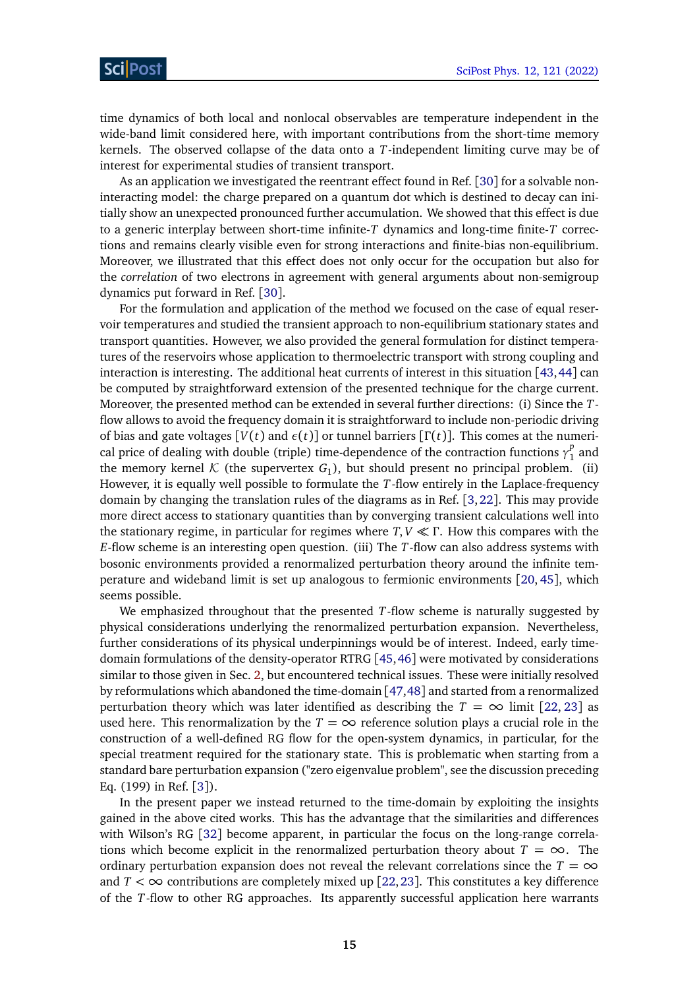time dynamics of both local and nonlocal observables are temperature independent in the wide-band limit considered here, with important contributions from the short-time memory kernels. The observed collapse of the data onto a *T*-independent limiting curve may be of interest for experimental studies of transient transport.

As an application we investigated the reentrant effect found in Ref. [[30](#page-21-8)] for a solvable noninteracting model: the charge prepared on a quantum dot which is destined to decay can initially show an unexpected pronounced further accumulation. We showed that this effect is due to a generic interplay between short-time infinite-*T* dynamics and long-time finite-*T* corrections and remains clearly visible even for strong interactions and finite-bias non-equilibrium. Moreover, we illustrated that this effect does not only occur for the occupation but also for the *correlation* of two electrons in agreement with general arguments about non-semigroup dynamics put forward in Ref. [[30](#page-21-8)].

For the formulation and application of the method we focused on the case of equal reservoir temperatures and studied the transient approach to non-equilibrium stationary states and transport quantities. However, we also provided the general formulation for distinct temperatures of the reservoirs whose application to thermoelectric transport with strong coupling and interaction is interesting. The additional heat currents of interest in this situation [[43,](#page-22-6)[44](#page-22-7)] can be computed by straightforward extension of the presented technique for the charge current. Moreover, the presented method can be extended in several further directions: (i) Since the *T*flow allows to avoid the frequency domain it is straightforward to include non-periodic driving of bias and gate voltages [*V*(*t*) and *ε*(*t*)] or tunnel barriers [*Γ* (*t*)]. This comes at the numerical price of dealing with double (triple) time-dependence of the contraction functions  $\gamma_1^p$  $\frac{p}{1}$  and the memory kernel  $K$  (the supervertex  $G_1$ ), but should present no principal problem. (ii) However, it is equally well possible to formulate the *T*-flow entirely in the Laplace-frequency domain by changing the translation rules of the diagrams as in Ref. [[3,](#page-19-3)[22](#page-21-0)]. This may provide more direct access to stationary quantities than by converging transient calculations well into the stationary regime, in particular for regimes where *T*, *V Γ* . How this compares with the *E*-flow scheme is an interesting open question. (iii) The *T*-flow can also address systems with bosonic environments provided a renormalized perturbation theory around the infinite temperature and wideband limit is set up analogous to fermionic environments [[20,](#page-20-12) [45](#page-22-8)], which seems possible.

We emphasized throughout that the presented *T*-flow scheme is naturally suggested by physical considerations underlying the renormalized perturbation expansion. Nevertheless, further considerations of its physical underpinnings would be of interest. Indeed, early timedomain formulations of the density-operator RTRG [[45,](#page-22-8)[46](#page-22-9)] were motivated by considerations similar to those given in Sec. [2,](#page-2-0) but encountered technical issues. These were initially resolved by reformulations which abandoned the time-domain [[47,](#page-22-10)[48](#page-22-11)] and started from a renormalized perturbation theory which was later identified as describing the  $T = \infty$  limit [[22,](#page-21-0) [23](#page-21-1)] as used here. This renormalization by the  $T = \infty$  reference solution plays a crucial role in the construction of a well-defined RG flow for the open-system dynamics, in particular, for the special treatment required for the stationary state. This is problematic when starting from a standard bare perturbation expansion ("zero eigenvalue problem", see the discussion preceding Eq. (199) in Ref. [[3](#page-19-3)]).

In the present paper we instead returned to the time-domain by exploiting the insights gained in the above cited works. This has the advantage that the similarities and differences with Wilson's RG [[32](#page-21-10)] become apparent, in particular the focus on the long-range correlations which become explicit in the renormalized perturbation theory about  $T = \infty$ . The ordinary perturbation expansion does not reveal the relevant correlations since the  $T = \infty$ and  $T < \infty$  contributions are completely mixed up [[22,](#page-21-0) [23](#page-21-1)]. This constitutes a key difference of the *T*-flow to other RG approaches. Its apparently successful application here warrants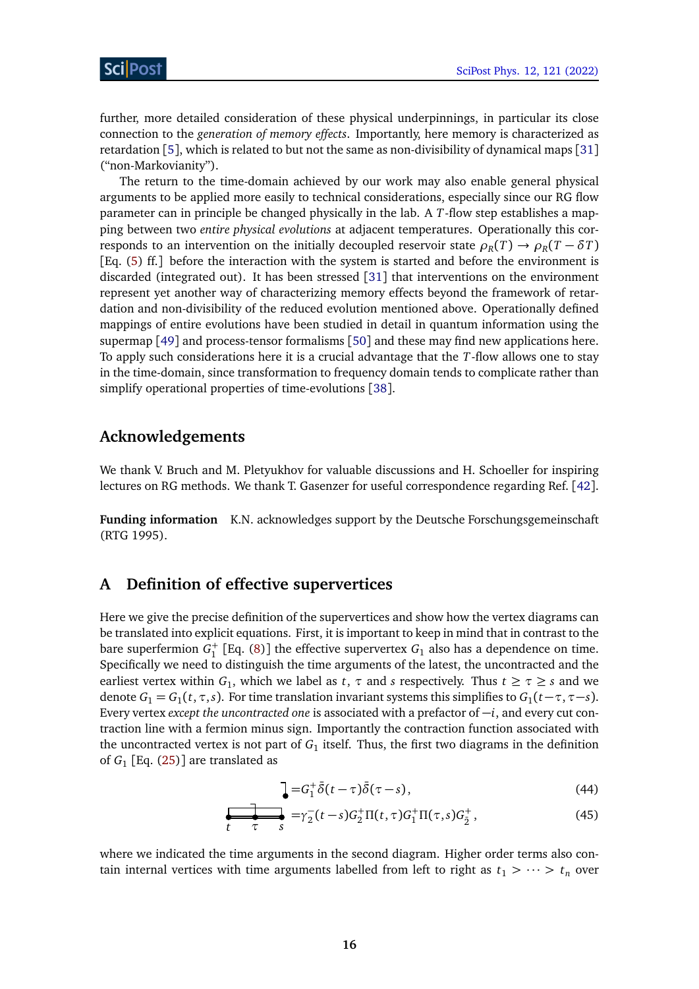further, more detailed consideration of these physical underpinnings, in particular its close connection to the *generation of memory effects*. Importantly, here memory is characterized as retardation [[5](#page-19-5)], which is related to but not the same as non-divisibility of dynamical maps [[31](#page-21-9)] ("non-Markovianity").

The return to the time-domain achieved by our work may also enable general physical arguments to be applied more easily to technical considerations, especially since our RG flow parameter can in principle be changed physically in the lab. A *T*-flow step establishes a mapping between two *entire physical evolutions* at adjacent temperatures. Operationally this corresponds to an intervention on the initially decoupled reservoir state  $\rho_R(T) \to \rho_R(T - \delta T)$ [Eq. [\(5\)](#page-4-4) ff.] before the interaction with the system is started and before the environment is discarded (integrated out). It has been stressed [[31](#page-21-9)] that interventions on the environment represent yet another way of characterizing memory effects beyond the framework of retardation and non-divisibility of the reduced evolution mentioned above. Operationally defined mappings of entire evolutions have been studied in detail in quantum information using the supermap [[49](#page-22-12)] and process-tensor formalisms [[50](#page-22-13)] and these may find new applications here. To apply such considerations here it is a crucial advantage that the *T*-flow allows one to stay in the time-domain, since transformation to frequency domain tends to complicate rather than simplify operational properties of time-evolutions [[38](#page-22-1)].

## **Acknowledgements**

We thank V. Bruch and M. Pletyukhov for valuable discussions and H. Schoeller for inspiring lectures on RG methods. We thank T. Gasenzer for useful correspondence regarding Ref. [[42](#page-22-5)].

**Funding information** K.N. acknowledges support by the Deutsche Forschungsgemeinschaft (RTG 1995).

## <span id="page-15-0"></span>**A Definition of effective supervertices**

Here we give the precise definition of the supervertices and show how the vertex diagrams can be translated into explicit equations. First, it is important to keep in mind that in contrast to the bare superfermion  $G_1^+$  [Eq. [\(8\)](#page-4-3)] the effective supervertex  $G_1$  also has a dependence on time. Specifically we need to distinguish the time arguments of the latest, the uncontracted and the earliest vertex within  $G_1$ , which we label as  $t, \tau$  and  $s$  respectively. Thus  $t \geq \tau \geq s$  and we denote  $G_1 = G_1(t, \tau, s)$ . For time translation invariant systems this simplifies to  $G_1(t-\tau, \tau-s)$ . Every vertex *except the uncontracted one* is associated with a prefactor of  $-i$ , and every cut contraction line with a fermion minus sign. Importantly the contraction function associated with the uncontracted vertex is not part of  $G_1$  itself. Thus, the first two diagrams in the definition of *G*<sup>1</sup> [Eq. [\(25\)](#page-7-1)] are translated as

$$
\mathbf{J} = G_1^+ \bar{\delta}(t - \tau) \bar{\delta}(\tau - s),\tag{44}
$$

$$
\frac{1}{t-\tau} = \gamma_2^-(t-s)G_2^+ \Pi(t,\tau)G_1^+ \Pi(\tau,s)G_2^+, \tag{45}
$$

where we indicated the time arguments in the second diagram. Higher order terms also contain internal vertices with time arguments labelled from left to right as  $t_1 > \cdots > t_n$  over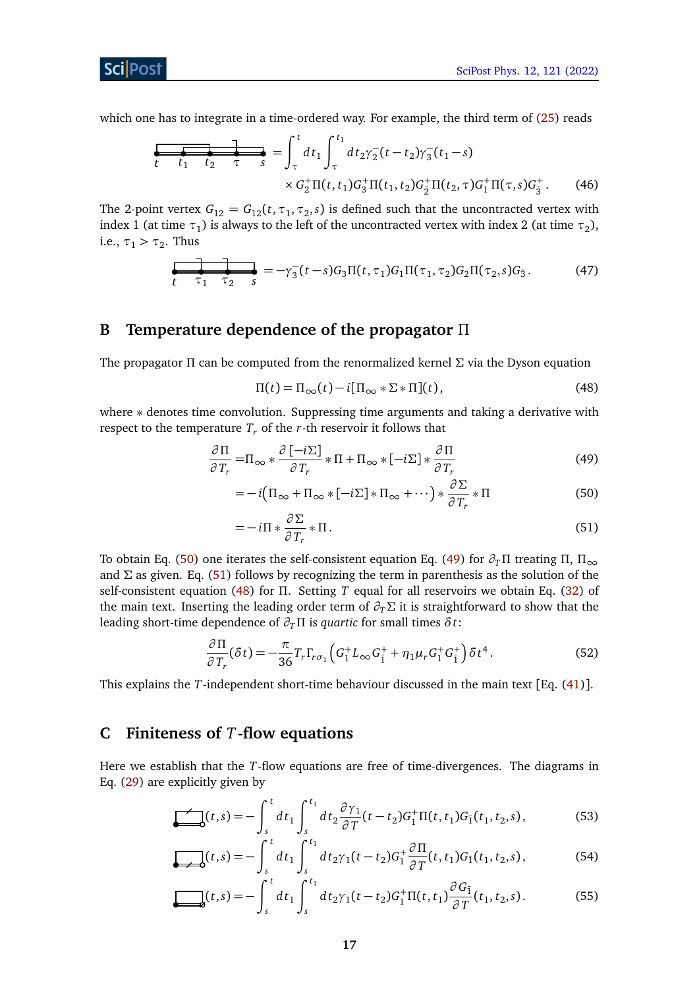which one has to integrate in a time-ordered way. For example, the third term of [\(25\)](#page-7-1) reads

*t t*<sup>1</sup> *t*<sup>2</sup> *τ s* = Z *<sup>t</sup> τ d t*<sup>1</sup> Z *<sup>t</sup>*<sup>1</sup> *τ d t*2*γ* − 2 (*t* − *t*<sup>2</sup> )*γ* − 3 (*t*<sup>1</sup> − *s*) × *G* + <sup>2</sup> *Π*(*t*, *t*<sup>1</sup> )*G* + <sup>3</sup> *Π*(*t*<sup>1</sup> , *t*<sup>2</sup> )*G* + 2¯ *Π*(*t*<sup>2</sup> ,*τ*)*G* + <sup>1</sup> *Π*(*τ*,*s*)*G* + 3¯ . (46)

The 2-point vertex  $G_{12} = G_{12}(t, \tau_1, \tau_2, s)$  is defined such that the uncontracted vertex with index 1 (at time  $\tau_1$ ) is always to the left of the uncontracted vertex with index 2 (at time  $\tau_2$ ), i.e.,  $\tau_1 > \tau_2$ . Thus

$$
\frac{1}{t \tau_1 \tau_2 s} = -\gamma_3(t - s)G_3 \Pi(t, \tau_1)G_1 \Pi(\tau_1, \tau_2)G_2 \Pi(\tau_2, s)G_3.
$$
 (47)

## <span id="page-16-0"></span>**B Temperature dependence of the propagator** *Π*

The propagator *Π* can be computed from the renormalized kernel *Σ* via the Dyson equation

<span id="page-16-5"></span><span id="page-16-3"></span><span id="page-16-2"></span>
$$
\Pi(t) = \Pi_{\infty}(t) - i[\Pi_{\infty} * \Sigma * \Pi](t),
$$
\n(48)

where \* denotes time convolution. Suppressing time arguments and taking a derivative with respect to the temperature  $T_r$  of the *r*-th reservoir it follows that

$$
\frac{\partial \Pi}{\partial T_r} = \Pi_{\infty} * \frac{\partial [-i\Sigma]}{\partial T_r} * \Pi + \Pi_{\infty} * [-i\Sigma] * \frac{\partial \Pi}{\partial T_r}
$$
(49)

$$
= -i(\Pi_{\infty} + \Pi_{\infty} * [-i\Sigma] * \Pi_{\infty} + \cdots) * \frac{\partial \Sigma}{\partial T_r} * \Pi
$$
\n(50)

<span id="page-16-9"></span><span id="page-16-4"></span>
$$
=-i\Pi * \frac{\partial \Sigma}{\partial T_r} * \Pi.
$$
\n(51)

To obtain Eq. [\(50\)](#page-16-2) one iterates the self-consistent equation Eq. [\(49\)](#page-16-3) for *∂TΠ* treating *Π*, *Π*<sup>∞</sup> and *Σ* as given. Eq. [\(51\)](#page-16-4) follows by recognizing the term in parenthesis as the solution of the self-consistent equation [\(48\)](#page-16-5) for *Π*. Setting *T* equal for all reservoirs we obtain Eq. [\(32\)](#page-8-2) of the main text. Inserting the leading order term of  $\partial_T \Sigma$  it is straightforward to show that the leading short-time dependence of  $\partial_T \Pi$  is *quartic* for small times  $\delta t$ :

$$
\frac{\partial \Pi}{\partial T_r}(\delta t) = -\frac{\pi}{36} T_r \Gamma_{r\sigma_1} \left( G_1^+ L_\infty G_1^+ + \eta_1 \mu_r G_1^+ G_1^+ \right) \delta t^4. \tag{52}
$$

This explains the *T*-independent short-time behaviour discussed in the main text [Eq. [\(41\)](#page-11-3)].

# <span id="page-16-1"></span>**C Finiteness of** *T***-flow equations**

Here we establish that the *T*-flow equations are free of time-divergences. The diagrams in Eq. [\(29\)](#page-7-4) are explicitly given by

<span id="page-16-6"></span>
$$
\int_{s}^{t} dt_{1} \int_{s}^{t_{1}} dt_{2} \frac{\partial \gamma_{1}}{\partial T}(t - t_{2}) G_{1}^{+} \Pi(t, t_{1}) G_{1}(t_{1}, t_{2}, s), \tag{53}
$$

<span id="page-16-8"></span><span id="page-16-7"></span>
$$
\int_{s}^{t} dt_{1} \int_{s}^{t_{1}} dt_{2} \gamma_{1}(t - t_{2}) G_{1}^{+} \frac{\partial \Pi}{\partial T}(t, t_{1}) G_{1}(t_{1}, t_{2}, s), \qquad (54)
$$

$$
\underbrace{\hspace{1cm}}_{\mathcal{D}}(t,s) = -\int_{s}^{t} dt_1 \int_{s}^{t_1} dt_2 \gamma_1(t - t_2) G_1^+ \Pi(t, t_1) \frac{\partial G_1}{\partial T}(t_1, t_2, s). \tag{55}
$$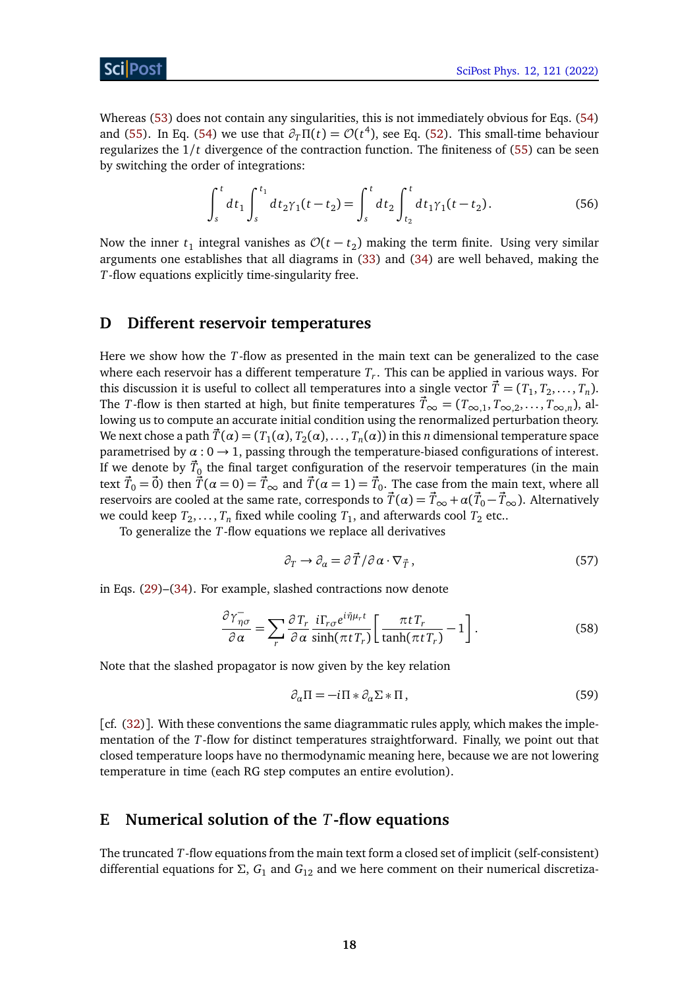## ScilPos<sup>.</sup>

Whereas [\(53\)](#page-16-6) does not contain any singularities, this is not immediately obvious for Eqs. [\(54\)](#page-16-7) and [\(55\)](#page-16-8). In Eq. [\(54\)](#page-16-7) we use that  $\partial_T \Pi(t) = \mathcal{O}(t^4)$ , see Eq. [\(52\)](#page-16-9). This small-time behaviour regularizes the 1*/t* divergence of the contraction function. The finiteness of [\(55\)](#page-16-8) can be seen by switching the order of integrations:

$$
\int_{s}^{t} dt_{1} \int_{s}^{t_{1}} dt_{2} \gamma_{1}(t - t_{2}) = \int_{s}^{t} dt_{2} \int_{t_{2}}^{t} dt_{1} \gamma_{1}(t - t_{2}). \tag{56}
$$

Now the inner  $t_1$  integral vanishes as  $\mathcal{O}(t-t_2)$  making the term finite. Using very similar arguments one establishes that all diagrams in [\(33\)](#page-8-0) and [\(34\)](#page-8-1) are well behaved, making the *T*-flow equations explicitly time-singularity free.

#### <span id="page-17-0"></span>**D Different reservoir temperatures**

Here we show how the *T*-flow as presented in the main text can be generalized to the case where each reservoir has a different temperature *T<sup>r</sup>* . This can be applied in various ways. For this discussion it is useful to collect all temperatures into a single vector  $\vec{T} = (T_1, T_2, \ldots, T_n)$ . The *T*-flow is then started at high, but finite temperatures  $\vec{T}_{\infty} = (T_{\infty,1}, T_{\infty,2}, \ldots, T_{\infty,n})$ , allowing us to compute an accurate initial condition using the renormalized perturbation theory. We next chose a path  $\vec{T}(\alpha) = (T_1(\alpha), T_2(\alpha), \ldots, T_n(\alpha))$  in this *n* dimensional temperature space parametrised by  $\alpha$  : 0  $\rightarrow$  1, passing through the temperature-biased configurations of interest. If we denote by  $\vec{T}_0$  the final target configuration of the reservoir temperatures (in the main text  $\vec{T}_0 = \vec{0}$ ) then  $\vec{T}(\alpha = 0) = \vec{T}_{\infty}$  and  $\vec{T}(\alpha = 1) = \vec{T}_0$ . The case from the main text, where all reservoirs are cooled at the same rate, corresponds to  $\vec{T}(\alpha) = \vec{T}_{\infty} + \alpha(\vec{T}_0-\vec{T}_{\infty})$ . Alternatively we could keep  $T_2, \ldots, T_n$  fixed while cooling  $T_1,$  and afterwards cool  $T_2$  etc..

To generalize the *T*-flow equations we replace all derivatives

$$
\partial_T \to \partial_\alpha = \partial \vec{T} / \partial \alpha \cdot \nabla_{\vec{T}} , \qquad (57)
$$

in Eqs. [\(29\)](#page-7-4)–[\(34\)](#page-8-1). For example, slashed contractions now denote

$$
\frac{\partial \gamma_{\eta\sigma}^{-}}{\partial \alpha} = \sum_{r} \frac{\partial T_{r}}{\partial \alpha} \frac{i\Gamma_{r\sigma} e^{i\tilde{\eta}\mu_{r}t}}{\sinh(\pi t T_{r})} \left[ \frac{\pi t T_{r}}{\tanh(\pi t T_{r})} - 1 \right].
$$
 (58)

Note that the slashed propagator is now given by the key relation

$$
\partial_{\alpha} \Pi = -i\Pi * \partial_{\alpha} \Sigma * \Pi, \qquad (59)
$$

[cf. [\(32\)](#page-8-2)]. With these conventions the same diagrammatic rules apply, which makes the implementation of the *T*-flow for distinct temperatures straightforward. Finally, we point out that closed temperature loops have no thermodynamic meaning here, because we are not lowering temperature in time (each RG step computes an entire evolution).

## <span id="page-17-1"></span>**E Numerical solution of the** *T***-flow equations**

The truncated *T*-flow equations from the main text form a closed set of implicit (self-consistent) differential equations for Σ,  $G_1$  and  $G_{12}$  and we here comment on their numerical discretiza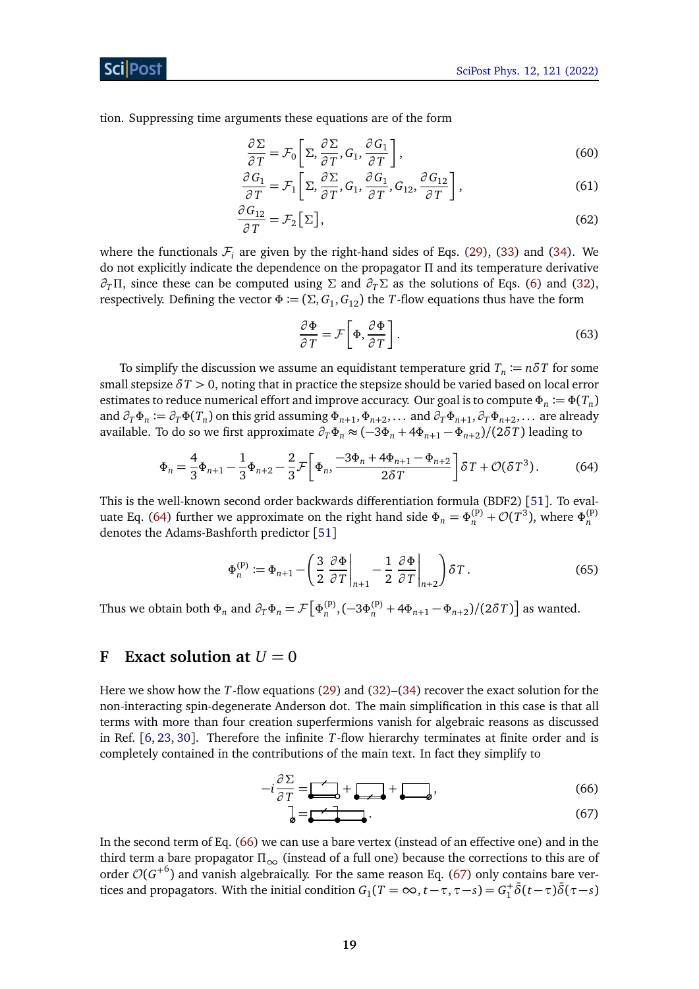tion. Suppressing time arguments these equations are of the form

$$
\frac{\partial \Sigma}{\partial T} = \mathcal{F}_0 \left[ \Sigma, \frac{\partial \Sigma}{\partial T}, G_1, \frac{\partial G_1}{\partial T} \right],\tag{60}
$$

$$
\frac{\partial G_1}{\partial T} = \mathcal{F}_1 \left[ \Sigma, \frac{\partial \Sigma}{\partial T}, G_1, \frac{\partial G_1}{\partial T}, G_{12}, \frac{\partial G_{12}}{\partial T} \right],\tag{61}
$$

$$
\frac{\partial G_{12}}{\partial T} = \mathcal{F}_2 \left[ \Sigma \right],\tag{62}
$$

where the functionals  $\mathcal{F}_i$  are given by the right-hand sides of Eqs. [\(29\)](#page-7-4), [\(33\)](#page-8-0) and [\(34\)](#page-8-1). We do not explicitly indicate the dependence on the propagator *Π* and its temperature derivative  $∂_T$ Π, since these can be computed using Σ and  $∂_TΣ$  as the solutions of Eqs. [\(6\)](#page-4-2) and [\(32\)](#page-8-2), respectively. Defining the vector  $\Phi := (\Sigma, G_1, G_{12})$  the *T*-flow equations thus have the form

<span id="page-18-1"></span>
$$
\frac{\partial \Phi}{\partial T} = \mathcal{F} \left[ \Phi, \frac{\partial \Phi}{\partial T} \right].
$$
 (63)

To simplify the discussion we assume an equidistant temperature grid  $T_n \coloneqq n \delta T$  for some small stepsize *δT >* 0, noting that in practice the stepsize should be varied based on local error  $\epsilon$  estimates to reduce numerical effort and improve accuracy. Our goal is to compute  $\Phi_n \coloneqq \Phi(T_n)$ and  $\partial_T \Phi_n := \partial_T \Phi(T_n)$  on this grid assuming  $\Phi_{n+1}, \Phi_{n+2}, \dots$  and  $\partial_T \Phi_{n+1}, \partial_T \Phi_{n+2}, \dots$  are already available. To do so we first approximate  $\partial_T \Phi_n \approx (-3\Phi_n + 4\Phi_{n+1} - \Phi_{n+2})/(2\delta T)$  leading to

$$
\Phi_n = \frac{4}{3}\Phi_{n+1} - \frac{1}{3}\Phi_{n+2} - \frac{2}{3}\mathcal{F}\left[\Phi_n, \frac{-3\Phi_n + 4\Phi_{n+1} - \Phi_{n+2}}{2\delta T}\right] \delta T + \mathcal{O}(\delta T^3). \tag{64}
$$

This is the well-known second order backwards differentiation formula (BDF2) [[51](#page-22-14)]. To eval-uate Eq. [\(64\)](#page-18-1) further we approximate on the right hand side  $\Phi_n = \Phi_n^{(P)} + \mathcal{O}(T^3)$ , where  $\Phi_n^{(P)}$ denotes the Adams-Bashforth predictor [[51](#page-22-14)]

$$
\Phi_n^{(P)} := \Phi_{n+1} - \left(\frac{3}{2} \left. \frac{\partial \Phi}{\partial T} \right|_{n+1} - \frac{1}{2} \left. \frac{\partial \Phi}{\partial T} \right|_{n+2} \right) \delta T. \tag{65}
$$

Thus we obtain both  $\Phi_n$  and  $\partial_T \Phi_n = \mathcal{F} \Big[ \Phi_n^{(P)} , (-3\Phi_n^{(P)} + 4\Phi_{n+1} - \Phi_{n+2})/(2\delta T) \Big]$  as wanted.

#### <span id="page-18-0"></span>**F Exact solution at**  $U = 0$

Here we show how the *T*-flow equations [\(29\)](#page-7-4) and [\(32\)](#page-8-2)–[\(34\)](#page-8-1) recover the exact solution for the non-interacting spin-degenerate Anderson dot. The main simplification in this case is that all terms with more than four creation superfermions vanish for algebraic reasons as discussed in Ref. [[6,](#page-19-6) [23,](#page-21-1) [30](#page-21-8)]. Therefore the infinite *T*-flow hierarchy terminates at finite order and is completely contained in the contributions of the main text. In fact they simplify to

$$
-i\frac{\partial \Sigma}{\partial T} = \underbrace{\phantom{ \mathcal{L}(\mathcal{L})}}_{\mathcal{L}(\mathcal{L})} + \underbrace{\phantom{ \mathcal{L}(\mathcal{L})}}_{\mathcal{L}(\mathcal{L})} + \underbrace{\phantom{ \mathcal{L}(\mathcal{L})}}_{\mathcal{L}(\mathcal{L})},\tag{66}
$$

<span id="page-18-3"></span><span id="page-18-2"></span>
$$
\frac{1}{\mathcal{C}} = \frac{1}{\mathcal{C} \cdot \mathcal{C}} \tag{67}
$$

In the second term of Eq. [\(66\)](#page-18-2) we can use a bare vertex (instead of an effective one) and in the third term a bare propagator  $\Pi_{\infty}$  (instead of a full one) because the corrections to this are of order  $\mathcal{O}(G^{+6})$  and vanish algebraically. For the same reason Eq. [\(67\)](#page-18-3) only contains bare vertices and propagators. With the initial condition  $G_1(T = \infty, t - \tau, \tau - s) = G_1^+ \bar{\delta}(t - \tau) \bar{\delta}(\tau - s)$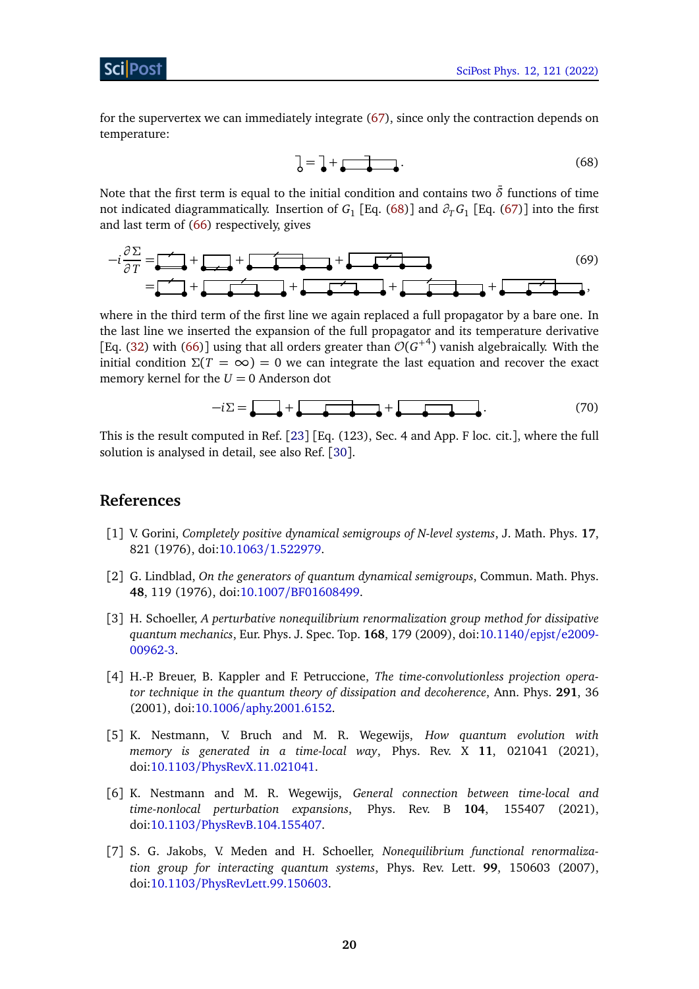ScilPos<sup>.</sup>

for the supervertex we can immediately integrate [\(67\)](#page-18-3), since only the contraction depends on temperature:

<span id="page-19-8"></span>
$$
\mathbf{J} = \mathbf{J} + \mathbf{J} + \mathbf{J} \tag{68}
$$

Note that the first term is equal to the initial condition and contains two  $\bar{\delta}$  functions of time not indicated diagrammatically. Insertion of  $G_1$  [Eq. [\(68\)](#page-19-8)] and  $\partial_T G_1$  [Eq. [\(67\)](#page-18-3)] into the first and last term of [\(66\)](#page-18-2) respectively, gives

$$
-i\frac{\partial \Sigma}{\partial T} = \sum_{i=1}^{n} + \sum_{i=1}^{n} + \sum_{j=1}^{n} + \sum_{j=1}^{n} + \sum_{j=1}^{n} + \sum_{j=1}^{n} + \sum_{j=1}^{n} + \sum_{j=1}^{n} + \sum_{j=1}^{n} + \sum_{j=1}^{n} + \sum_{j=1}^{n} + \sum_{j=1}^{n} + \sum_{j=1}^{n} + \sum_{j=1}^{n} + \sum_{j=1}^{n} + \sum_{j=1}^{n} + \sum_{j=1}^{n} + \sum_{j=1}^{n} + \sum_{j=1}^{n} + \sum_{j=1}^{n} + \sum_{j=1}^{n} + \sum_{j=1}^{n} + \sum_{j=1}^{n} + \sum_{j=1}^{n} + \sum_{j=1}^{n} + \sum_{j=1}^{n} + \sum_{j=1}^{n} + \sum_{j=1}^{n} + \sum_{j=1}^{n} + \sum_{j=1}^{n} + \sum_{j=1}^{n} + \sum_{j=1}^{n} + \sum_{j=1}^{n} + \sum_{j=1}^{n} + \sum_{j=1}^{n} + \sum_{j=1}^{n} + \sum_{j=1}^{n} + \sum_{j=1}^{n} + \sum_{j=1}^{n} + \sum_{j=1}^{n} + \sum_{j=1}^{n} + \sum_{j=1}^{n} + \sum_{j=1}^{n} + \sum_{j=1}^{n} + \sum_{j=1}^{n} + \sum_{j=1}^{n} + \sum_{j=1}^{n} + \sum_{j=1}^{n} + \sum_{j=1}^{n} + \sum_{j=1}^{n} + \sum_{j=1}^{n} + \sum_{j=1}^{n} + \sum_{j=1}^{n} + \sum_{j=1}^{n} + \sum_{j=1}^{n} + \sum_{j=1}^{n} + \sum_{j=1}^{n} + \sum_{j=1}^{n} + \sum_{j=1}^{n} + \sum_{j=1}^{n} + \sum_{j=1}^{n} + \sum_{j=1}^{n} + \sum_{j=1}^{n} + \sum_{j=1}^{n} + \sum_{j=1}^{n} + \sum_{j=1}^{n} + \sum_{j=1}^{n} + \sum_{j=1}^{
$$

where in the third term of the first line we again replaced a full propagator by a bare one. In the last line we inserted the expansion of the full propagator and its temperature derivative [Eq. [\(32\)](#page-8-2) with [\(66\)](#page-18-2)] using that all orders greater than  $\mathcal{O}(G^{+4})$  vanish algebraically. With the initial condition  $\Sigma(T = \infty) = 0$  we can integrate the last equation and recover the exact memory kernel for the  $U = 0$  Anderson dot

<span id="page-19-0"></span>−*iΣ* = + + . (70)

This is the result computed in Ref. [[23](#page-21-1)] [Eq. (123), Sec. 4 and App. F loc. cit.], where the full solution is analysed in detail, see also Ref. [[30](#page-21-8)].

#### **References**

- <span id="page-19-1"></span>[1] V. Gorini, *Completely positive dynamical semigroups of N-level systems*, J. Math. Phys. **17**, 821 (1976), doi:10.1063/[1.522979.](https://doi.org/10.1063/1.522979)
- <span id="page-19-2"></span>[2] G. Lindblad, *On the generators of quantum dynamical semigroups*, Commun. Math. Phys. **48**, 119 (1976), doi:10.1007/[BF01608499.](https://doi.org/10.1007/BF01608499)
- <span id="page-19-3"></span>[3] H. Schoeller, *A perturbative nonequilibrium renormalization group method for dissipative quantum mechanics*, Eur. Phys. J. Spec. Top. **168**, 179 (2009), doi[:10.1140](https://doi.org/10.1140/epjst/e2009-00962-3)/epjst/e2009- [00962-3.](https://doi.org/10.1140/epjst/e2009-00962-3)
- <span id="page-19-4"></span>[4] H.-P. Breuer, B. Kappler and F. Petruccione, *The time-convolutionless projection operator technique in the quantum theory of dissipation and decoherence*, Ann. Phys. **291**, 36 (2001), doi:10.1006/[aphy.2001.6152.](https://doi.org/10.1006/aphy.2001.6152)
- <span id="page-19-5"></span>[5] K. Nestmann, V. Bruch and M. R. Wegewijs, *How quantum evolution with memory is generated in a time-local way*, Phys. Rev. X **11**, 021041 (2021), doi:10.1103/[PhysRevX.11.021041.](https://doi.org/10.1103/PhysRevX.11.021041)
- <span id="page-19-6"></span>[6] K. Nestmann and M. R. Wegewijs, *General connection between time-local and time-nonlocal perturbation expansions*, Phys. Rev. B **104**, 155407 (2021), doi:10.1103/[PhysRevB.104.155407.](https://doi.org/10.1103/PhysRevB.104.155407)
- <span id="page-19-7"></span>[7] S. G. Jakobs, V. Meden and H. Schoeller, *Nonequilibrium functional renormalization group for interacting quantum systems*, Phys. Rev. Lett. **99**, 150603 (2007), doi:10.1103/[PhysRevLett.99.150603.](https://doi.org/10.1103/PhysRevLett.99.150603)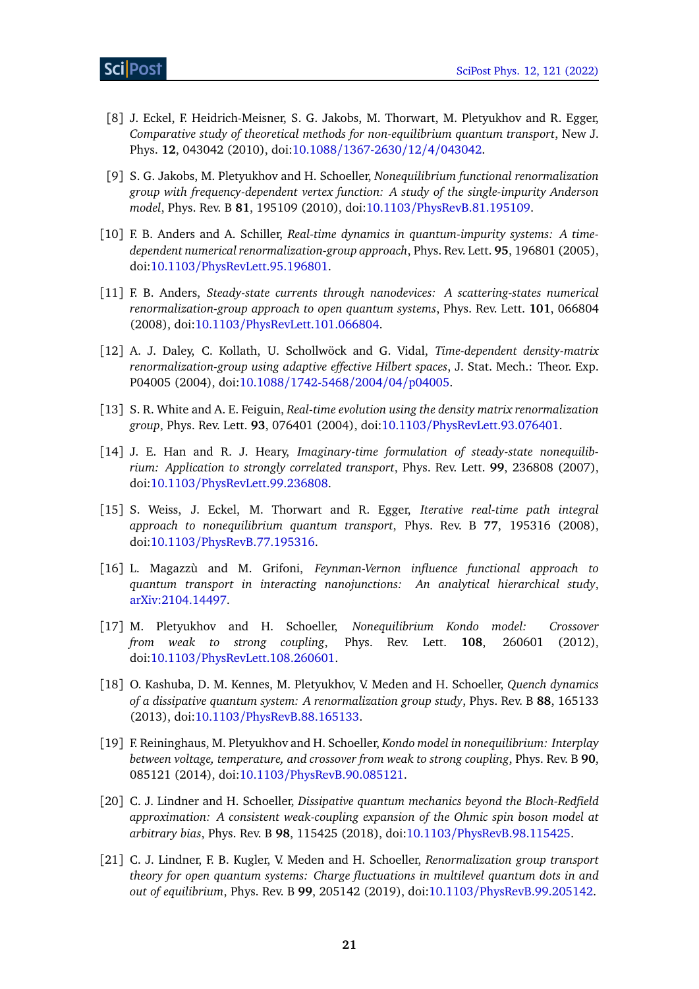- <span id="page-20-11"></span>[8] J. Eckel, F. Heidrich-Meisner, S. G. Jakobs, M. Thorwart, M. Pletyukhov and R. Egger, *Comparative study of theoretical methods for non-equilibrium quantum transport*, New J. Phys. **12**, 043042 (2010), doi:10.1088/[1367-2630](https://doi.org/10.1088/1367-2630/12/4/043042)/12/4/043042.
- <span id="page-20-0"></span>[9] S. G. Jakobs, M. Pletyukhov and H. Schoeller, *Nonequilibrium functional renormalization group with frequency-dependent vertex function: A study of the single-impurity Anderson model*, Phys. Rev. B **81**, 195109 (2010), doi:10.1103/[PhysRevB.81.195109.](https://doi.org/10.1103/PhysRevB.81.195109)
- <span id="page-20-1"></span>[10] F. B. Anders and A. Schiller, *Real-time dynamics in quantum-impurity systems: A timedependent numerical renormalization-group approach*, Phys. Rev. Lett. **95**, 196801 (2005), doi:10.1103/[PhysRevLett.95.196801.](https://doi.org/10.1103/PhysRevLett.95.196801)
- <span id="page-20-2"></span>[11] F. B. Anders, *Steady-state currents through nanodevices: A scattering-states numerical renormalization-group approach to open quantum systems*, Phys. Rev. Lett. **101**, 066804 (2008), doi:10.1103/[PhysRevLett.101.066804.](https://doi.org/10.1103/PhysRevLett.101.066804)
- <span id="page-20-3"></span>[12] A. J. Daley, C. Kollath, U. Schollwöck and G. Vidal, *Time-dependent density-matrix renormalization-group using adaptive effective Hilbert spaces*, J. Stat. Mech.: Theor. Exp. P04005 (2004), doi:10.1088/[1742-5468](https://doi.org/10.1088/1742-5468/2004/04/p04005)/2004/04/p04005.
- <span id="page-20-4"></span>[13] S. R. White and A. E. Feiguin, *Real-time evolution using the density matrix renormalization group*, Phys. Rev. Lett. **93**, 076401 (2004), doi:10.1103/[PhysRevLett.93.076401.](https://doi.org/10.1103/PhysRevLett.93.076401)
- <span id="page-20-5"></span>[14] J. E. Han and R. J. Heary, *Imaginary-time formulation of steady-state nonequilibrium: Application to strongly correlated transport*, Phys. Rev. Lett. **99**, 236808 (2007), doi:10.1103/[PhysRevLett.99.236808.](https://doi.org/10.1103/PhysRevLett.99.236808)
- <span id="page-20-6"></span>[15] S. Weiss, J. Eckel, M. Thorwart and R. Egger, *Iterative real-time path integral approach to nonequilibrium quantum transport*, Phys. Rev. B **77**, 195316 (2008), doi:10.1103/[PhysRevB.77.195316.](https://doi.org/10.1103/PhysRevB.77.195316)
- <span id="page-20-7"></span>[16] L. Magazzù and M. Grifoni, *Feynman-Vernon influence functional approach to quantum transport in interacting nanojunctions: An analytical hierarchical study*, [arXiv:2104.14497.](https://arxiv.org/abs/2104.14497)
- <span id="page-20-8"></span>[17] M. Pletyukhov and H. Schoeller, *Nonequilibrium Kondo model: Crossover from weak to strong coupling*, Phys. Rev. Lett. **108**, 260601 (2012), doi:10.1103/[PhysRevLett.108.260601.](https://doi.org/10.1103/PhysRevLett.108.260601)
- <span id="page-20-9"></span>[18] O. Kashuba, D. M. Kennes, M. Pletyukhov, V. Meden and H. Schoeller, *Quench dynamics of a dissipative quantum system: A renormalization group study*, Phys. Rev. B **88**, 165133 (2013), doi:10.1103/[PhysRevB.88.165133.](https://doi.org/10.1103/PhysRevB.88.165133)
- [19] F. Reininghaus, M. Pletyukhov and H. Schoeller, *Kondo model in nonequilibrium: Interplay between voltage, temperature, and crossover from weak to strong coupling*, Phys. Rev. B **90**, 085121 (2014), doi:10.1103/[PhysRevB.90.085121.](https://doi.org/10.1103/PhysRevB.90.085121)
- <span id="page-20-12"></span>[20] C. J. Lindner and H. Schoeller, *Dissipative quantum mechanics beyond the Bloch-Redfield approximation: A consistent weak-coupling expansion of the Ohmic spin boson model at arbitrary bias*, Phys. Rev. B **98**, 115425 (2018), doi:10.1103/[PhysRevB.98.115425.](https://doi.org/10.1103/PhysRevB.98.115425)
- <span id="page-20-10"></span>[21] C. J. Lindner, F. B. Kugler, V. Meden and H. Schoeller, *Renormalization group transport theory for open quantum systems: Charge fluctuations in multilevel quantum dots in and out of equilibrium*, Phys. Rev. B **99**, 205142 (2019), doi:10.1103/[PhysRevB.99.205142.](https://doi.org/10.1103/PhysRevB.99.205142)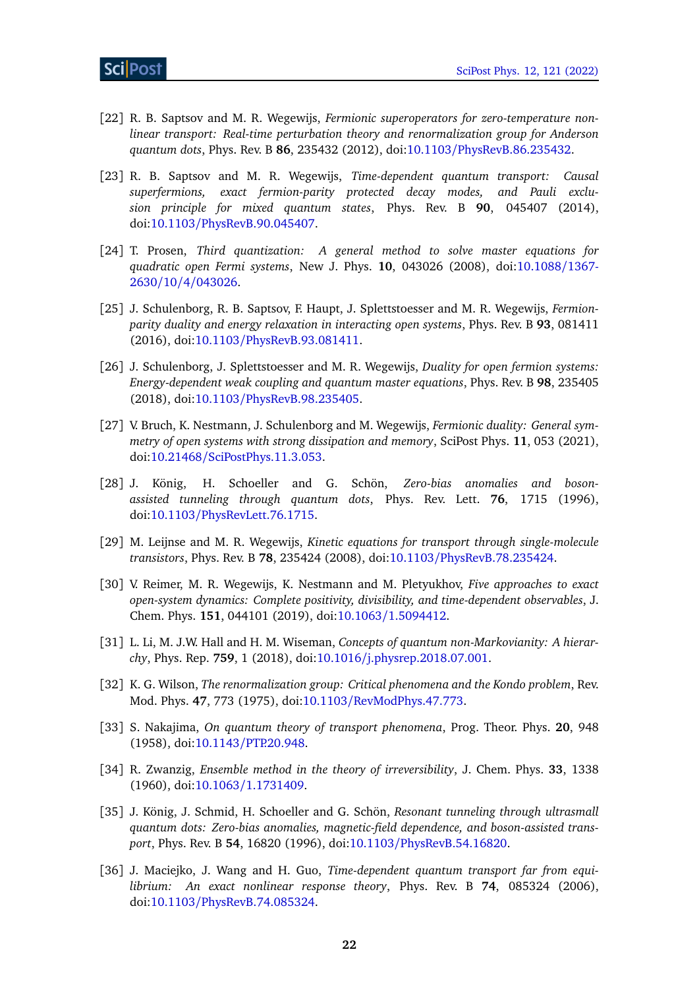- <span id="page-21-0"></span>[22] R. B. Saptsov and M. R. Wegewijs, *Fermionic superoperators for zero-temperature nonlinear transport: Real-time perturbation theory and renormalization group for Anderson quantum dots*, Phys. Rev. B **86**, 235432 (2012), doi:10.1103/[PhysRevB.86.235432.](https://doi.org/10.1103/PhysRevB.86.235432)
- <span id="page-21-1"></span>[23] R. B. Saptsov and M. R. Wegewijs, *Time-dependent quantum transport: Causal superfermions, exact fermion-parity protected decay modes, and Pauli exclusion principle for mixed quantum states*, Phys. Rev. B **90**, 045407 (2014), doi:10.1103/[PhysRevB.90.045407.](https://doi.org/10.1103/PhysRevB.90.045407)
- <span id="page-21-2"></span>[24] T. Prosen, *Third quantization: A general method to solve master equations for quadratic open Fermi systems*, New J. Phys. **10**, 043026 (2008), doi[:10.1088](https://doi.org/10.1088/1367-2630/10/4/043026)/1367- 2630/10/4/[043026.](https://doi.org/10.1088/1367-2630/10/4/043026)
- <span id="page-21-3"></span>[25] J. Schulenborg, R. B. Saptsov, F. Haupt, J. Splettstoesser and M. R. Wegewijs, *Fermionparity duality and energy relaxation in interacting open systems*, Phys. Rev. B **93**, 081411 (2016), doi:10.1103/[PhysRevB.93.081411.](https://doi.org/10.1103/PhysRevB.93.081411)
- <span id="page-21-4"></span>[26] J. Schulenborg, J. Splettstoesser and M. R. Wegewijs, *Duality for open fermion systems: Energy-dependent weak coupling and quantum master equations*, Phys. Rev. B **98**, 235405 (2018), doi:10.1103/[PhysRevB.98.235405.](https://doi.org/10.1103/PhysRevB.98.235405)
- <span id="page-21-5"></span>[27] V. Bruch, K. Nestmann, J. Schulenborg and M. Wegewijs, *Fermionic duality: General symmetry of open systems with strong dissipation and memory*, SciPost Phys. **11**, 053 (2021), doi:10.21468/[SciPostPhys.11.3.053.](https://doi.org/10.21468/SciPostPhys.11.3.053)
- <span id="page-21-6"></span>[28] J. König, H. Schoeller and G. Schön, *Zero-bias anomalies and bosonassisted tunneling through quantum dots*, Phys. Rev. Lett. **76**, 1715 (1996), doi:10.1103/[PhysRevLett.76.1715.](https://doi.org/10.1103/PhysRevLett.76.1715)
- <span id="page-21-7"></span>[29] M. Leijnse and M. R. Wegewijs, *Kinetic equations for transport through single-molecule transistors*, Phys. Rev. B **78**, 235424 (2008), doi:10.1103/[PhysRevB.78.235424.](https://doi.org/10.1103/PhysRevB.78.235424)
- <span id="page-21-8"></span>[30] V. Reimer, M. R. Wegewijs, K. Nestmann and M. Pletyukhov, *Five approaches to exact open-system dynamics: Complete positivity, divisibility, and time-dependent observables*, J. Chem. Phys. **151**, 044101 (2019), doi:10.1063/[1.5094412.](https://doi.org/10.1063/1.5094412)
- <span id="page-21-9"></span>[31] L. Li, M. J.W. Hall and H. M. Wiseman, *Concepts of quantum non-Markovianity: A hierarchy*, Phys. Rep. **759**, 1 (2018), doi:10.1016/[j.physrep.2018.07.001.](https://doi.org/10.1016/j.physrep.2018.07.001)
- <span id="page-21-10"></span>[32] K. G. Wilson, *The renormalization group: Critical phenomena and the Kondo problem*, Rev. Mod. Phys. **47**, 773 (1975), doi:10.1103/[RevModPhys.47.773.](https://doi.org/10.1103/RevModPhys.47.773)
- <span id="page-21-11"></span>[33] S. Nakajima, *On quantum theory of transport phenomena*, Prog. Theor. Phys. **20**, 948 (1958), doi:10.1143/[PTP.20.948.](https://doi.org/10.1143/PTP.20.948)
- <span id="page-21-12"></span>[34] R. Zwanzig, *Ensemble method in the theory of irreversibility*, J. Chem. Phys. **33**, 1338 (1960), doi:10.1063/[1.1731409.](https://doi.org/10.1063/1.1731409)
- <span id="page-21-13"></span>[35] J. König, J. Schmid, H. Schoeller and G. Schön, *Resonant tunneling through ultrasmall quantum dots: Zero-bias anomalies, magnetic-field dependence, and boson-assisted transport*, Phys. Rev. B **54**, 16820 (1996), doi:10.1103/[PhysRevB.54.16820.](https://doi.org/10.1103/PhysRevB.54.16820)
- <span id="page-21-14"></span>[36] J. Maciejko, J. Wang and H. Guo, *Time-dependent quantum transport far from equilibrium: An exact nonlinear response theory*, Phys. Rev. B **74**, 085324 (2006), doi:10.1103/[PhysRevB.74.085324.](https://doi.org/10.1103/PhysRevB.74.085324)